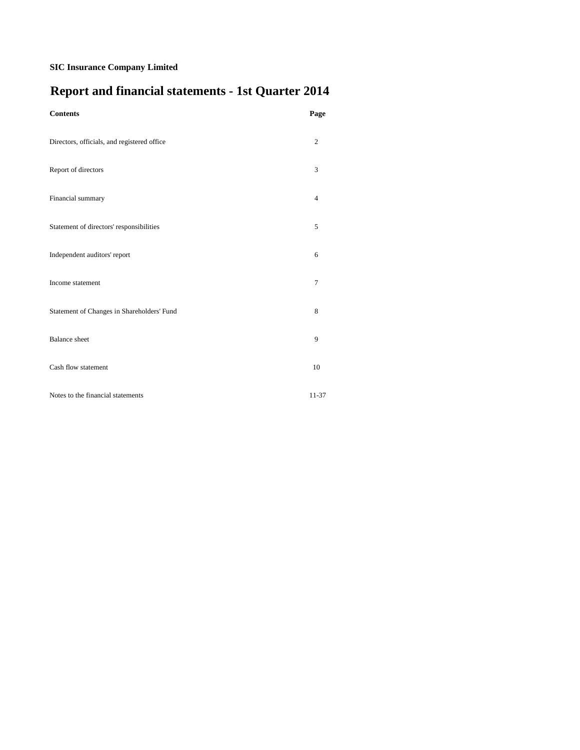# **Report and financial statements - 1st Quarter 2014**

| <b>Contents</b>                             | Page           |
|---------------------------------------------|----------------|
| Directors, officials, and registered office | $\mathfrak{2}$ |
| Report of directors                         | 3              |
| Financial summary                           | $\overline{4}$ |
| Statement of directors' responsibilities    | 5              |
| Independent auditors' report                | 6              |
| Income statement                            | $\overline{7}$ |
| Statement of Changes in Shareholders' Fund  | 8              |
| <b>Balance</b> sheet                        | 9              |
| Cash flow statement                         | 10             |
| Notes to the financial statements           | 11-37          |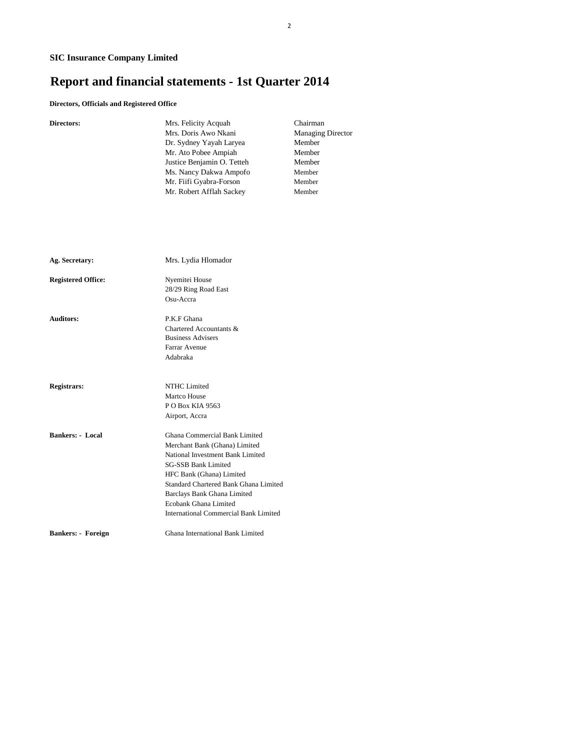## **Report and financial statements - 1st Quarter 2014**

## **Directors, Officials and Registered Office**

**Directors:** Mrs. Felicity Acquah Chairman Mrs. Doris Awo Nkani Managing Director Dr. Sydney Yayah Laryea Member Mr. Ato Pobee Ampiah Member Justice Benjamin O. Tetteh Member Ms. Nancy Dakwa Ampofo Member Mr. Fiifi Gyabra-Forson Member Mr. Robert Afflah Sackey Member

| Ag. Secretary:            | Mrs. Lydia Hlomador                   |
|---------------------------|---------------------------------------|
| <b>Registered Office:</b> | Nyemitei House                        |
|                           | 28/29 Ring Road East                  |
|                           | Osu-Accra                             |
| Auditors:                 | P K F Ghana                           |
|                           | Chartered Accountants &               |
|                           | <b>Business Advisers</b>              |
|                           | Farrar Avenue                         |
|                           | Adabraka                              |
|                           |                                       |
| <b>Registrars:</b>        | NTHC Limited                          |
|                           | Martco House                          |
|                           | P O Box KIA 9563                      |
|                           | Airport, Accra                        |
| <b>Bankers: - Local</b>   | Ghana Commercial Bank Limited         |
|                           | Merchant Bank (Ghana) Limited         |
|                           | National Investment Bank Limited      |
|                           | <b>SG-SSB Bank Limited</b>            |
|                           | HFC Bank (Ghana) Limited              |
|                           | Standard Chartered Bank Ghana Limited |
|                           | Barclays Bank Ghana Limited           |
|                           | Ecobank Ghana Limited                 |
|                           | International Commercial Bank Limited |
| <b>Bankers: - Foreign</b> | Ghana International Bank Limited      |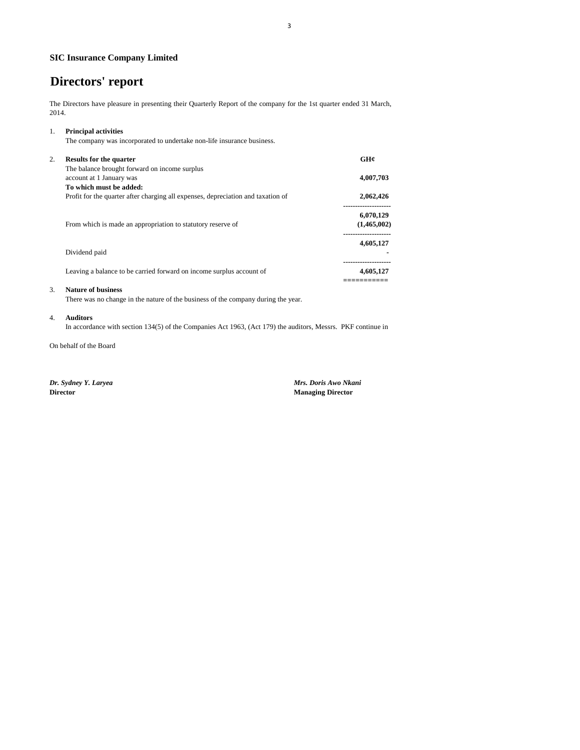## **Directors' report**

The Directors have pleasure in presenting their Quarterly Report of the company for the 1st quarter ended 31 March, 2014.

### 1. **Principal activities**

The company was incorporated to undertake non-life insurance business.

| 2.<br><b>Results for the quarter</b>                                                                 | GH¢                                            |
|------------------------------------------------------------------------------------------------------|------------------------------------------------|
| The balance brought forward on income surplus<br>account at 1 January was<br>To which must be added: | 4,007,703                                      |
| Profit for the quarter after charging all expenses, depreciation and taxation of                     | 2,062,426                                      |
| From which is made an appropriation to statutory reserve of                                          | 6,070,129<br>(1,465,002)<br>------------------ |
| Dividend paid                                                                                        | 4,605,127                                      |
| Leaving a balance to be carried forward on income surplus account of                                 | 4,605,127                                      |

### 3. **Nature of business**

There was no change in the nature of the business of the company during the year.

### 4. **Auditors**

In accordance with section 134(5) of the Companies Act 1963, (Act 179) the auditors, Messrs. PKF continue in

On behalf of the Board

**Director Managing Director** 

*Dr. Sydney Y. Laryea Mrs. Doris Awo Nkani*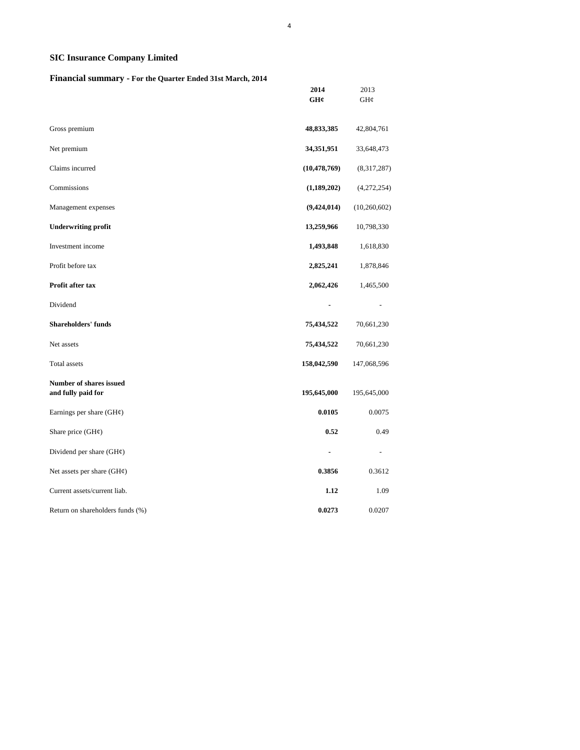## **Financial summary - For the Quarter Ended 31st March, 2014**

|                                  | 2014           | 2013                    |  |
|----------------------------------|----------------|-------------------------|--|
|                                  | GH¢            | $\text{GH}\mathfrak{C}$ |  |
|                                  |                |                         |  |
| Gross premium                    | 48,833,385     | 42,804,761              |  |
| Net premium                      | 34,351,951     | 33,648,473              |  |
| Claims incurred                  | (10, 478, 769) | (8,317,287)             |  |
| Commissions                      | (1,189,202)    | (4,272,254)             |  |
| Management expenses              | (9,424,014)    | (10,260,602)            |  |
| <b>Underwriting profit</b>       | 13,259,966     | 10,798,330              |  |
| Investment income                | 1,493,848      | 1,618,830               |  |
| Profit before tax                | 2,825,241      | 1,878,846               |  |
| Profit after tax                 | 2,062,426      | 1,465,500               |  |
| Dividend                         | ۰              |                         |  |
| <b>Shareholders' funds</b>       | 75,434,522     | 70,661,230              |  |
| Net assets                       | 75,434,522     | 70,661,230              |  |
| Total assets                     | 158,042,590    | 147,068,596             |  |
| Number of shares issued          |                |                         |  |
| and fully paid for               | 195,645,000    | 195,645,000             |  |
| Earnings per share $(GH\varphi)$ | 0.0105         | 0.0075                  |  |
| Share price $(GH\varphi)$        | 0.52           | 0.49                    |  |
| Dividend per share (GH¢)         |                | $\overline{a}$          |  |
| Net assets per share (GH¢)       | 0.3856         | 0.3612                  |  |
| Current assets/current liab.     | 1.12           | 1.09                    |  |
| Return on shareholders funds (%) | 0.0273         | 0.0207                  |  |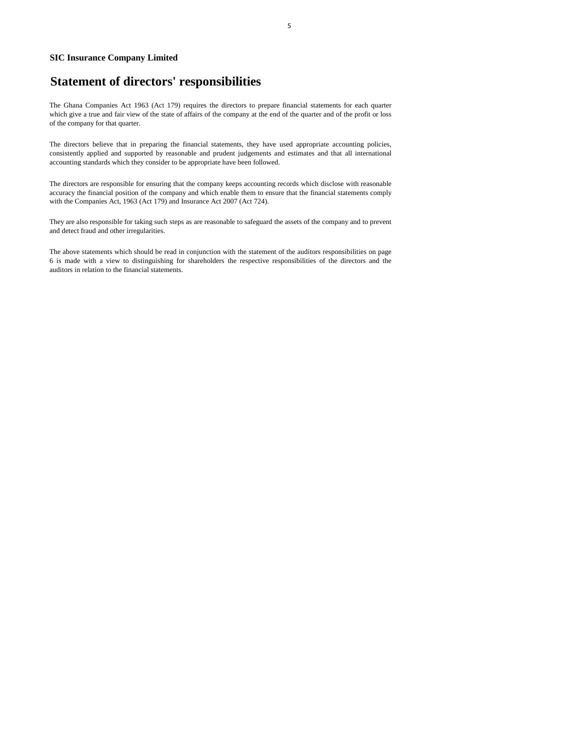## **Statement of directors' responsibilities**

The Ghana Companies Act 1963 (Act 179) requires the directors to prepare financial statements for each quarter which give a true and fair view of the state of affairs of the company at the end of the quarter and of the profit or loss of the company for that quarter.

The directors believe that in preparing the financial statements, they have used appropriate accounting policies, consistently applied and supported by reasonable and prudent judgements and estimates and that all international accounting standards which they consider to be appropriate have been followed.

The directors are responsible for ensuring that the company keeps accounting records which disclose with reasonable accuracy the financial position of the company and which enable them to ensure that the financial statements comply with the Companies Act, 1963 (Act 179) and Insurance Act 2007 (Act 724).

They are also responsible for taking such steps as are reasonable to safeguard the assets of the company and to prevent and detect fraud and other irregularities.

The above statements which should be read in conjunction with the statement of the auditors responsibilities on page 6 is made with a view to distinguishing for shareholders the respective responsibilities of the directors and the auditors in relation to the financial statements.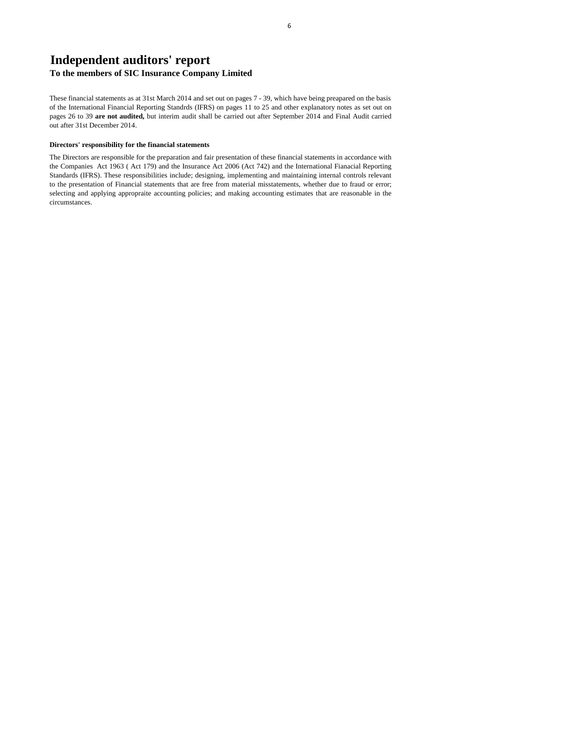## **Independent auditors' report**

## **To the members of SIC Insurance Company Limited**

These financial statements as at 31st March 2014 and set out on pages 7 - 39, which have being preapared on the basis of the International Financial Reporting Standrds (IFRS) on pages 11 to 25 and other explanatory notes as set out on pages 26 to 39 **are not audited,** but interim audit shall be carried out after September 2014 and Final Audit carried out after 31st December 2014.

### **Directors' responsibility for the financial statements**

The Directors are responsible for the preparation and fair presentation of these financial statements in accordance with the Companies Act 1963 ( Act 179) and the Insurance Act 2006 (Act 742) and the International Fianacial Reporting Standards (IFRS). These responsibilities include; designing, implementing and maintaining internal controls relevant to the presentation of Financial statements that are free from material misstatements, whether due to fraud or error; selecting and applying appropraite accounting policies; and making accounting estimates that are reasonable in the circumstances.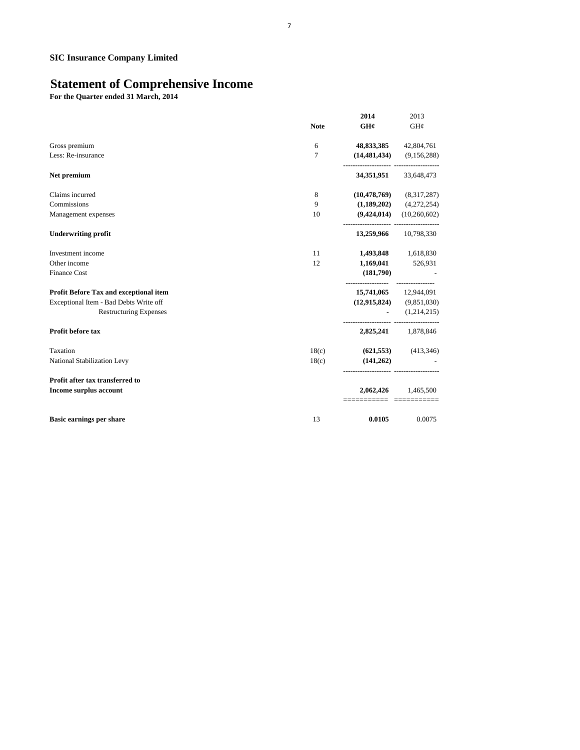## **Statement of Comprehensive Income**

**For the Quarter ended 31 March, 2014**

|                                        | <b>Note</b> | 2014<br>GH¢    | 2013<br>GH¢         |
|----------------------------------------|-------------|----------------|---------------------|
| Gross premium                          | 6           | 48,833,385     | 42,804,761          |
| Less: Re-insurance                     | 7           | (14, 481, 434) | (9,156,288)         |
| Net premium                            |             | 34,351,951     | 33,648,473          |
| Claims incurred                        | 8           | (10, 478, 769) | (8,317,287)         |
| Commissions                            | 9           | (1,189,202)    | (4,272,254)         |
| Management expenses                    | 10          | (9,424,014)    | (10, 260, 602)      |
| <b>Underwriting profit</b>             |             | 13,259,966     | 10,798,330          |
| Investment income                      | 11          | 1,493,848      | 1,618,830           |
| Other income                           | 12          | 1,169,041      | 526,931             |
| <b>Finance Cost</b>                    |             | (181,790)      |                     |
| Profit Before Tax and exceptional item |             | 15,741,065     | <br>12,944,091      |
| Exceptional Item - Bad Debts Write off |             | (12, 915, 824) | (9,851,030)         |
| <b>Restructuring Expenses</b>          |             |                | (1,214,215)         |
| Profit before tax                      |             |                | 2,825,241 1,878,846 |
| Taxation                               | 18(c)       | (621, 553)     | (413, 346)          |
| National Stabilization Levy            | 18(c)       | (141, 262)     |                     |
| Profit after tax transferred to        |             |                |                     |
| <b>Income surplus account</b>          |             | 2,062,426      | 1,465,500           |
| <b>Basic earnings per share</b>        | 13          | 0.0105         | 0.0075              |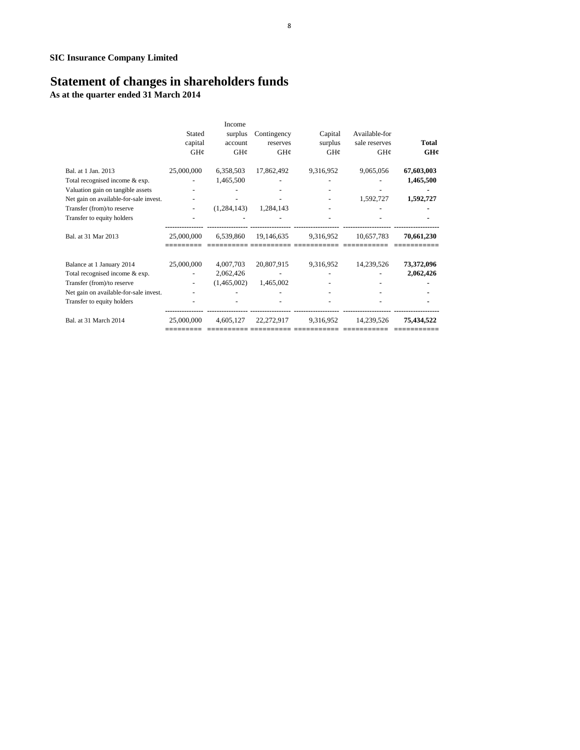## **Statement of changes in shareholders funds**

**As at the quarter ended 31 March 2014**

|                                        |            | Income        |             |           |               |            |
|----------------------------------------|------------|---------------|-------------|-----------|---------------|------------|
|                                        | Stated     | surplus       | Contingency | Capital   | Available-for |            |
|                                        | capital    | account       | reserves    | surplus   | sale reserves | Total      |
|                                        | GH¢        | GH¢           | GH¢         | GH¢       | GH¢           | GH¢        |
| Bal. at 1 Jan. 2013                    | 25,000,000 | 6,358,503     | 17,862,492  | 9,316,952 | 9,065,056     | 67,603,003 |
| Total recognised income & exp.         |            | 1,465,500     |             |           |               | 1,465,500  |
| Valuation gain on tangible assets      |            |               |             |           |               |            |
| Net gain on available-for-sale invest. |            |               |             |           | 1,592,727     | 1,592,727  |
| Transfer (from)/to reserve             |            | (1, 284, 143) | 1,284,143   |           |               |            |
| Transfer to equity holders             |            |               |             |           |               |            |
| Bal. at 31 Mar 2013                    | 25,000,000 | 6,539,860     | 19,146,635  | 9,316,952 | 10,657,783    | 70,661,230 |
| Balance at 1 January 2014              | 25,000,000 | 4,007,703     | 20,807,915  | 9,316,952 | 14,239,526    | 73,372,096 |
| Total recognised income & exp.         |            | 2,062,426     |             |           |               | 2,062,426  |
| Transfer (from)/to reserve             |            | (1,465,002)   | 1,465,002   |           |               |            |
| Net gain on available-for-sale invest. |            |               |             |           |               |            |
| Transfer to equity holders             |            |               |             |           |               |            |
| Bal. at 31 March 2014                  | 25,000,000 | 4,605,127     | 22,272,917  | 9,316,952 | 14,239,526    | 75,434,522 |
|                                        |            |               |             |           |               |            |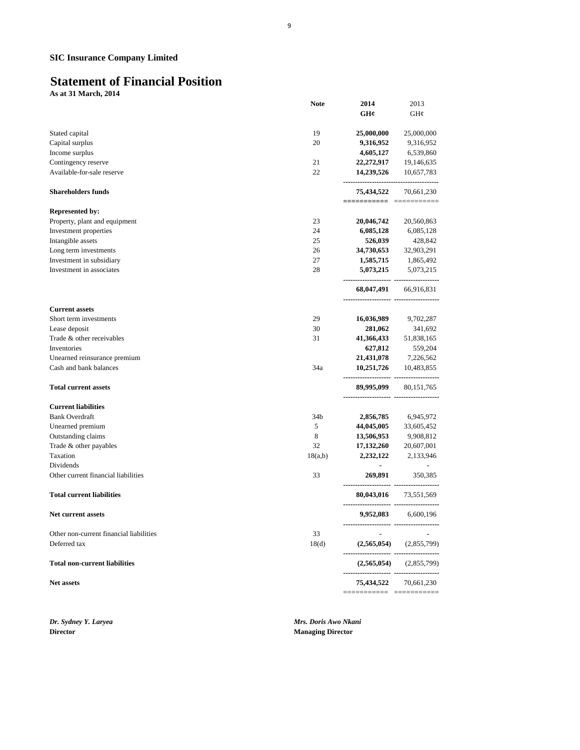## **Statement of Financial Position**

**As at 31 March, 2014**

|                                         | <b>Note</b>     | 2014         | 2013         |
|-----------------------------------------|-----------------|--------------|--------------|
|                                         |                 | GH¢          | GH¢          |
| Stated capital                          | 19              | 25,000,000   | 25,000,000   |
| Capital surplus                         | 20              | 9,316,952    | 9,316,952    |
| Income surplus                          |                 | 4,605,127    | 6,539,860    |
| Contingency reserve                     | 21              | 22,272,917   | 19,146,635   |
| Available-for-sale reserve              | 22              | 14,239,526   | 10,657,783   |
| <b>Shareholders funds</b>               |                 | 75,434,522   | 70,661,230   |
| <b>Represented by:</b>                  |                 |              |              |
| Property, plant and equipment           | 23              | 20,046,742   | 20,560,863   |
| Investment properties                   | 24              | 6,085,128    | 6,085,128    |
| Intangible assets                       | 25              | 526,039      | 428,842      |
| Long term investments                   | 26              | 34,730,653   | 32,903,291   |
| Investment in subsidiary                | 27              | 1,585,715    | 1,865,492    |
| Investment in associates                | 28              | 5,073,215    | 5,073,215    |
|                                         |                 | 68,047,491   | 66,916,831   |
| <b>Current assets</b>                   |                 |              |              |
| Short term investments                  | 29              | 16,036,989   | 9,702,287    |
| Lease deposit                           | 30              | 281,062      | 341,692      |
| Trade & other receivables               | 31              | 41,366,433   | 51,838,165   |
| Inventories                             |                 | 627,812      | 559,204      |
| Unearned reinsurance premium            |                 | 21,431,078   | 7,226,562    |
| Cash and bank balances                  | 34a             | 10,251,726   | 10,483,855   |
| <b>Total current assets</b>             |                 | 89,995,099   | 80, 151, 765 |
| <b>Current liabilities</b>              |                 |              |              |
| <b>Bank Overdraft</b>                   | 34b             | 2,856,785    | 6,945,972    |
| Unearned premium                        | 5               | 44,045,005   | 33,605,452   |
| Outstanding claims                      | 8               | 13,506,953   | 9,908,812    |
| Trade & other payables                  | 32              | 17, 132, 260 | 20,607,001   |
| Taxation                                | 18(a,b)         | 2,232,122    | 2,133,946    |
| Dividends                               |                 | ٠            | ٠            |
| Other current financial liabilities     | 33              | 269,891      | 350,385      |
| <b>Total current liabilities</b>        |                 | 80,043,016   | 73,551,569   |
| Net current assets                      |                 | 9,952,083    | 6,600,196    |
| Other non-current financial liabilities | 33              |              |              |
| Deferred tax                            | 18 <sub>d</sub> | (2,565,054)  | (2,855,799)  |
| <b>Total non-current liabilities</b>    |                 | (2,565,054)  | (2,855,799)  |
| Net assets                              |                 | 75,434,522   | 70,661,230   |
|                                         |                 |              |              |

*Dr. Sydney Y. Laryea Mrs. Doris Awo Nkani* **Director Managing Director**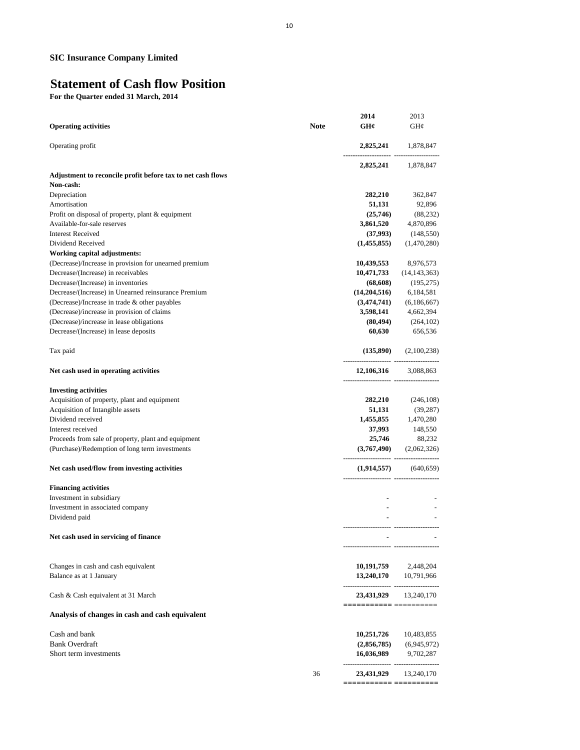## **Statement of Cash flow Position**

**For the Quarter ended 31 March, 2014**

|                                                             |             | 2014                                   | 2013                               |
|-------------------------------------------------------------|-------------|----------------------------------------|------------------------------------|
| <b>Operating activities</b>                                 | <b>Note</b> | GH¢                                    | GH¢                                |
| Operating profit                                            |             | 2,825,241                              | 1,878,847                          |
|                                                             |             | 2,825,241                              | 1,878,847                          |
| Adjustment to reconcile profit before tax to net cash flows |             |                                        |                                    |
| Non-cash:                                                   |             |                                        |                                    |
| Depreciation                                                |             | 282,210                                | 362,847                            |
| Amortisation                                                |             | 51,131                                 | 92,896                             |
| Profit on disposal of property, plant & equipment           |             | (25,746)                               | (88, 232)                          |
| Available-for-sale reserves                                 |             | 3,861,520                              | 4,870,896                          |
| <b>Interest Received</b>                                    |             | (37,993)                               | (148, 550)                         |
| Dividend Received                                           |             | (1,455,855)                            | (1,470,280)                        |
| Working capital adjustments:                                |             |                                        |                                    |
| (Decrease)/Increase in provision for unearned premium       |             | 10,439,553                             | 8,976,573                          |
| Decrease/(Increase) in receivables                          |             | 10,471,733                             | (14, 143, 363)                     |
| Decrease/(Increase) in inventories                          |             | (68, 608)                              | (195, 275)                         |
| Decrease/(Increase) in Unearned reinsurance Premium         |             | (14,204,516)                           | 6,184,581                          |
| (Decrease)/Increase in trade & other payables               |             | (3,474,741)                            | (6,186,667)                        |
| (Decrease)/increase in provision of claims                  |             | 3,598,141                              | 4,662,394                          |
| (Decrease)/increase in lease obligations                    |             | (80, 494)                              | (264, 102)                         |
| Decrease/(Increase) in lease deposits                       |             | 60,630                                 | 656,536                            |
| Tax paid                                                    |             | (135,890)                              | (2,100,238)                        |
| Net cash used in operating activities                       |             | 12,106,316                             | 3,088,863                          |
|                                                             |             | ----------------- -------------------- |                                    |
| <b>Investing activities</b>                                 |             |                                        |                                    |
| Acquisition of property, plant and equipment                |             | 282,210                                | (246, 108)                         |
| Acquisition of Intangible assets                            |             | 51,131                                 | (39, 287)                          |
| Dividend received                                           |             | 1,455,855                              | 1,470,280                          |
| Interest received                                           |             | 37,993                                 | 148,550                            |
| Proceeds from sale of property, plant and equipment         |             | 25,746                                 | 88,232                             |
| (Purchase)/Redemption of long term investments              |             | (3,767,490)                            | (2,062,326)                        |
| Net cash used/flow from investing activities                |             |                                        | $(1,914,557)$ $(640,659)$          |
|                                                             |             |                                        |                                    |
| <b>Financing activities</b>                                 |             |                                        |                                    |
| Investment in subsidiary                                    |             |                                        |                                    |
| Investment in associated company                            |             |                                        |                                    |
| Dividend paid                                               |             |                                        |                                    |
| Net cash used in servicing of finance                       |             |                                        |                                    |
|                                                             |             |                                        |                                    |
| Changes in cash and cash equivalent                         |             | 10,191,759                             | 2,448,204                          |
| Balance as at 1 January                                     |             | 13,240,170                             | 10,791,966                         |
| Cash & Cash equivalent at 31 March                          |             |                                        | 23,431,929 13,240,170              |
| Analysis of changes in cash and cash equivalent             |             | =========== ==========                 |                                    |
|                                                             |             |                                        |                                    |
| Cash and bank                                               |             | 10,251,726                             | 10,483,855                         |
| <b>Bank Overdraft</b>                                       |             | (2,856,785)                            | (6,945,972)                        |
| Short term investments                                      |             | 16,036,989                             | 9,702,287                          |
|                                                             | 36          |                                        | . <b></b><br>23,431,929 13,240,170 |
|                                                             |             | =========== ==========                 |                                    |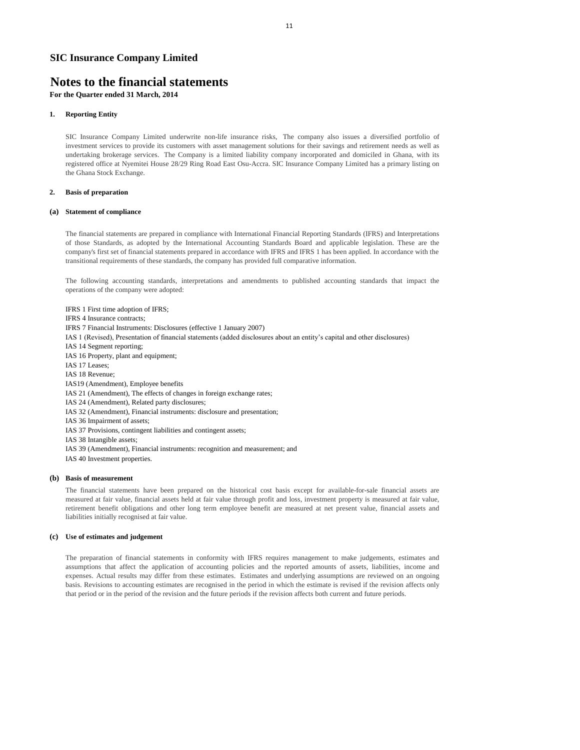## **Notes to the financial statements**

**For the Quarter ended 31 March, 2014**

### **1. Reporting Entity**

SIC Insurance Company Limited underwrite non-life insurance risks, The company also issues a diversified portfolio of investment services to provide its customers with asset management solutions for their savings and retirement needs as well as undertaking brokerage services. The Company is a limited liability company incorporated and domiciled in Ghana, with its registered office at Nyemitei House 28/29 Ring Road East Osu-Accra. SIC Insurance Company Limited has a primary listing on the Ghana Stock Exchange.

#### **2. Basis of preparation**

### **(a) Statement of compliance**

The financial statements are prepared in compliance with International Financial Reporting Standards (IFRS) and Interpretations of those Standards, as adopted by the International Accounting Standards Board and applicable legislation. These are the company's first set of financial statements prepared in accordance with IFRS and IFRS 1 has been applied. In accordance with the transitional requirements of these standards, the company has provided full comparative information.

The following accounting standards, interpretations and amendments to published accounting standards that impact the operations of the company were adopted:

IFRS 1 First time adoption of IFRS; IFRS 4 Insurance contracts; IFRS 7 Financial Instruments: Disclosures (effective 1 January 2007) IAS 1 (Revised), Presentation of financial statements (added disclosures about an entity's capital and other disclosures) IAS 14 Segment reporting; IAS 16 Property, plant and equipment; IAS 17 Leases; IAS 18 Revenue; IAS19 (Amendment), Employee benefits IAS 21 (Amendment), The effects of changes in foreign exchange rates; IAS 24 (Amendment), Related party disclosures; IAS 32 (Amendment), Financial instruments: disclosure and presentation; IAS 36 Impairment of assets; IAS 37 Provisions, contingent liabilities and contingent assets; IAS 38 Intangible assets; IAS 39 (Amendment), Financial instruments: recognition and measurement; and

IAS 40 Investment properties.

### **(b) Basis of measurement**

The financial statements have been prepared on the historical cost basis except for available-for-sale financial assets are measured at fair value, financial assets held at fair value through profit and loss, investment property is measured at fair value, retirement benefit obligations and other long term employee benefit are measured at net present value, financial assets and liabilities initially recognised at fair value.

#### **(c) Use of estimates and judgement**

The preparation of financial statements in conformity with IFRS requires management to make judgements, estimates and assumptions that affect the application of accounting policies and the reported amounts of assets, liabilities, income and expenses. Actual results may differ from these estimates. Estimates and underlying assumptions are reviewed on an ongoing basis. Revisions to accounting estimates are recognised in the period in which the estimate is revised if the revision affects only that period or in the period of the revision and the future periods if the revision affects both current and future periods.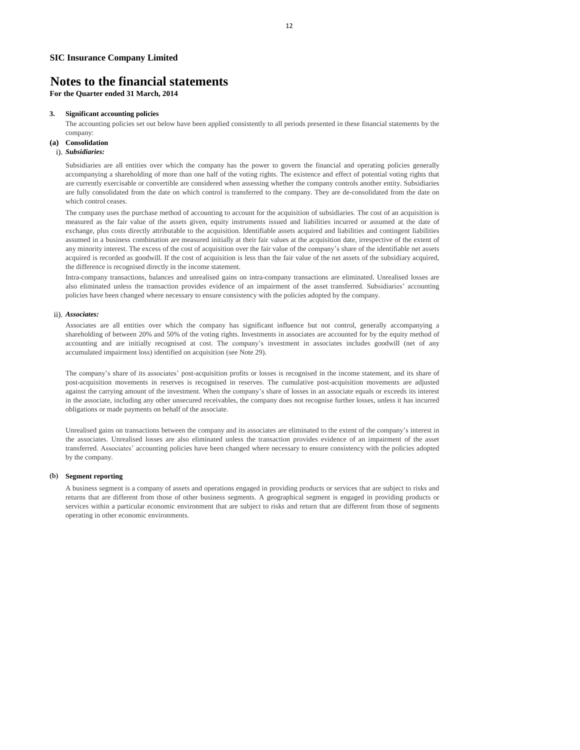## **Notes to the financial statements**

**For the Quarter ended 31 March, 2014**

### **3. Significant accounting policies**

The accounting policies set out below have been applied consistently to all periods presented in these financial statements by the company:

## **(a) Consolidation**

#### i). *Subsidiaries:*

Subsidiaries are all entities over which the company has the power to govern the financial and operating policies generally accompanying a shareholding of more than one half of the voting rights. The existence and effect of potential voting rights that are currently exercisable or convertible are considered when assessing whether the company controls another entity. Subsidiaries are fully consolidated from the date on which control is transferred to the company. They are de-consolidated from the date on which control ceases.

The company uses the purchase method of accounting to account for the acquisition of subsidiaries. The cost of an acquisition is measured as the fair value of the assets given, equity instruments issued and liabilities incurred or assumed at the date of exchange, plus costs directly attributable to the acquisition. Identifiable assets acquired and liabilities and contingent liabilities assumed in a business combination are measured initially at their fair values at the acquisition date, irrespective of the extent of any minority interest. The excess of the cost of acquisition over the fair value of the company's share of the identifiable net assets acquired is recorded as goodwill. If the cost of acquisition is less than the fair value of the net assets of the subsidiary acquired, the difference is recognised directly in the income statement.

Intra-company transactions, balances and unrealised gains on intra-company transactions are eliminated. Unrealised losses are also eliminated unless the transaction provides evidence of an impairment of the asset transferred. Subsidiaries' accounting policies have been changed where necessary to ensure consistency with the policies adopted by the company.

#### ii). *Associates:*

Associates are all entities over which the company has significant influence but not control, generally accompanying a shareholding of between 20% and 50% of the voting rights. Investments in associates are accounted for by the equity method of accounting and are initially recognised at cost. The company's investment in associates includes goodwill (net of any accumulated impairment loss) identified on acquisition (see Note 29).

The company's share of its associates' post-acquisition profits or losses is recognised in the income statement, and its share of post-acquisition movements in reserves is recognised in reserves. The cumulative post-acquisition movements are adjusted against the carrying amount of the investment. When the company's share of losses in an associate equals or exceeds its interest in the associate, including any other unsecured receivables, the company does not recognise further losses, unless it has incurred obligations or made payments on behalf of the associate.

Unrealised gains on transactions between the company and its associates are eliminated to the extent of the company's interest in the associates. Unrealised losses are also eliminated unless the transaction provides evidence of an impairment of the asset transferred. Associates' accounting policies have been changed where necessary to ensure consistency with the policies adopted by the company.

#### **(b) Segment reporting**

A business segment is a company of assets and operations engaged in providing products or services that are subject to risks and returns that are different from those of other business segments. A geographical segment is engaged in providing products or services within a particular economic environment that are subject to risks and return that are different from those of segments operating in other economic environments.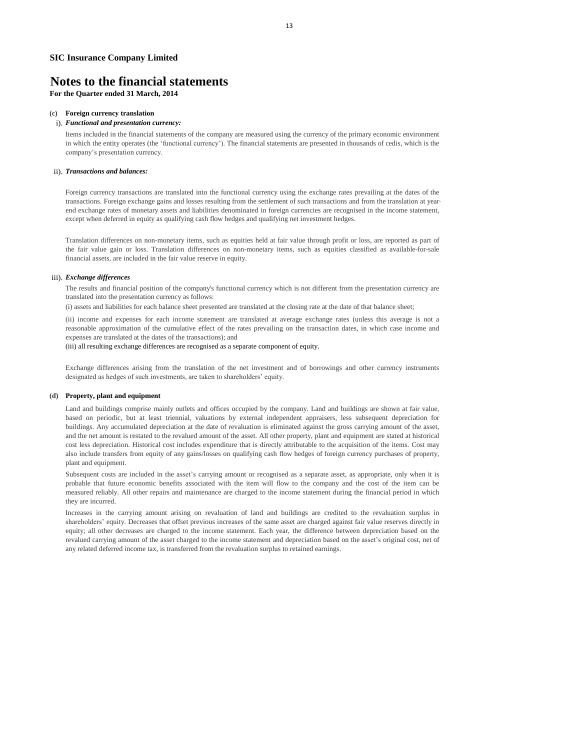## **Notes to the financial statements**

## **For the Quarter ended 31 March, 2014**

#### **(c) Foreign currency translation**

#### i). *Functional and presentation currency:*

Items included in the financial statements of the company are measured using the currency of the primary economic environment in which the entity operates (the 'functional currency'). The financial statements are presented in thousands of cedis, which is the company's presentation currency.

#### ii). *Transactions and balances:*

Foreign currency transactions are translated into the functional currency using the exchange rates prevailing at the dates of the transactions. Foreign exchange gains and losses resulting from the settlement of such transactions and from the translation at yearend exchange rates of monetary assets and liabilities denominated in foreign currencies are recognised in the income statement, except when deferred in equity as qualifying cash flow hedges and qualifying net investment hedges.

Translation differences on non-monetary items, such as equities held at fair value through profit or loss, are reported as part of the fair value gain or loss. Translation differences on non-monetary items, such as equities classified as available-for-sale financial assets, are included in the fair value reserve in equity.

#### iii). *Exchange differences*

The results and financial position of the company's functional currency which is not different from the presentation currency are translated into the presentation currency as follows:

(i) assets and liabilities for each balance sheet presented are translated at the closing rate at the date of that balance sheet;

(ii) income and expenses for each income statement are translated at average exchange rates (unless this average is not a reasonable approximation of the cumulative effect of the rates prevailing on the transaction dates, in which case income and expenses are translated at the dates of the transactions); and

(iii) all resulting exchange differences are recognised as a separate component of equity.

Exchange differences arising from the translation of the net investment and of borrowings and other currency instruments designated as hedges of such investments, are taken to shareholders' equity.

#### **(d) Property, plant and equipment**

Land and buildings comprise mainly outlets and offices occupied by the company. Land and buildings are shown at fair value, based on periodic, but at least triennial, valuations by external independent appraisers, less subsequent depreciation for buildings. Any accumulated depreciation at the date of revaluation is eliminated against the gross carrying amount of the asset, and the net amount is restated to the revalued amount of the asset. All other property, plant and equipment are stated at historical cost less depreciation. Historical cost includes expenditure that is directly attributable to the acquisition of the items. Cost may also include transfers from equity of any gains/losses on qualifying cash flow hedges of foreign currency purchases of property, plant and equipment.

Subsequent costs are included in the asset's carrying amount or recognised as a separate asset, as appropriate, only when it is probable that future economic benefits associated with the item will flow to the company and the cost of the item can be measured reliably. All other repairs and maintenance are charged to the income statement during the financial period in which they are incurred.

Increases in the carrying amount arising on revaluation of land and buildings are credited to the revaluation surplus in shareholders' equity. Decreases that offset previous increases of the same asset are charged against fair value reserves directly in equity; all other decreases are charged to the income statement. Each year, the difference between depreciation based on the revalued carrying amount of the asset charged to the income statement and depreciation based on the asset's original cost, net of any related deferred income tax, is transferred from the revaluation surplus to retained earnings.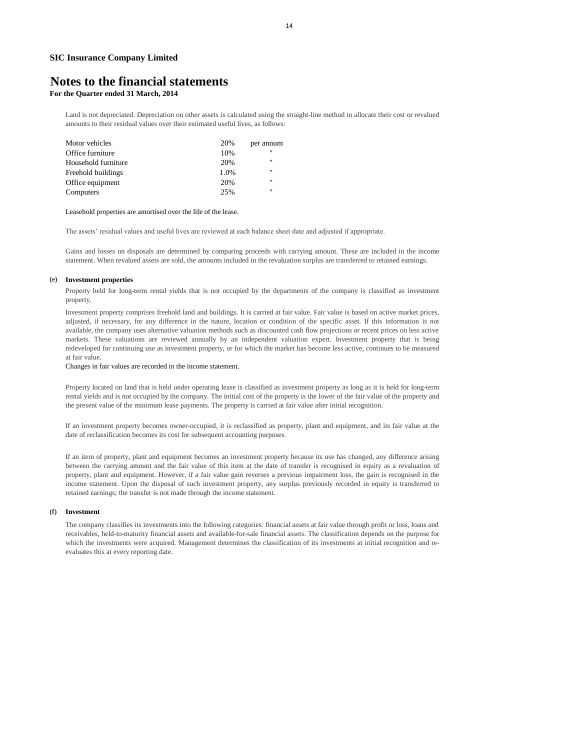## **Notes to the financial statements**

### **For the Quarter ended 31 March, 2014**

Land is not depreciated. Depreciation on other assets is calculated using the straight-line method to allocate their cost or revalued amounts to their residual values over their estimated useful lives, as follows:

| Motor vehicles      | 20%  | per annum         |
|---------------------|------|-------------------|
| Office furniture    | 10%  | $^{\prime\prime}$ |
| Household furniture | 20%  | $^{\prime\prime}$ |
| Freehold buildings  | 1.0% | $^{\prime\prime}$ |
| Office equipment    | 20%  | $^{\prime}$       |
| Computers           | 25%  | $^{\prime\prime}$ |

Leasehold properties are amortised over the life of the lease.

The assets' residual values and useful lives are reviewed at each balance sheet date and adjusted if appropriate.

Gains and losses on disposals are determined by comparing proceeds with carrying amount. These are included in the income statement. When revalued assets are sold, the amounts included in the revaluation surplus are transferred to retained earnings.

#### **(e) Investment properties**

Property held for long-term rental yields that is not occupied by the departments of the company is classified as investment property.

Investment property comprises freehold land and buildings. It is carried at fair value. Fair value is based on active market prices, adjusted, if necessary, for any difference in the nature, location or condition of the specific asset. If this information is not available, the company uses alternative valuation methods such as discounted cash flow projections or recent prices on less active markets. These valuations are reviewed annually by an independent valuation expert. Investment property that is being redeveloped for continuing use as investment property, or for which the market has become less active, continues to be measured at fair value.

#### Changes in fair values are recorded in the income statement.

Property located on land that is held under operating lease is classified as investment property as long as it is held for long-term rental yields and is not occupied by the company. The initial cost of the property is the lower of the fair value of the property and the present value of the minimum lease payments. The property is carried at fair value after initial recognition.

If an investment property becomes owner-occupied, it is reclassified as property, plant and equipment, and its fair value at the date of reclassification becomes its cost for subsequent accounting purposes.

If an item of property, plant and equipment becomes an investment property because its use has changed, any difference arising between the carrying amount and the fair value of this item at the date of transfer is recognised in equity as a revaluation of property, plant and equipment. However, if a fair value gain reverses a previous impairment loss, the gain is recognised in the income statement. Upon the disposal of such investment property, any surplus previously recorded in equity is transferred to retained earnings; the transfer is not made through the income statement.

#### **(f) Investment**

The company classifies its investments into the following categories: financial assets at fair value through profit or loss, loans and receivables, held-to-maturity financial assets and available-for-sale financial assets. The classification depends on the purpose for which the investments were acquired. Management determines the classification of its investments at initial recognition and reevaluates this at every reporting date.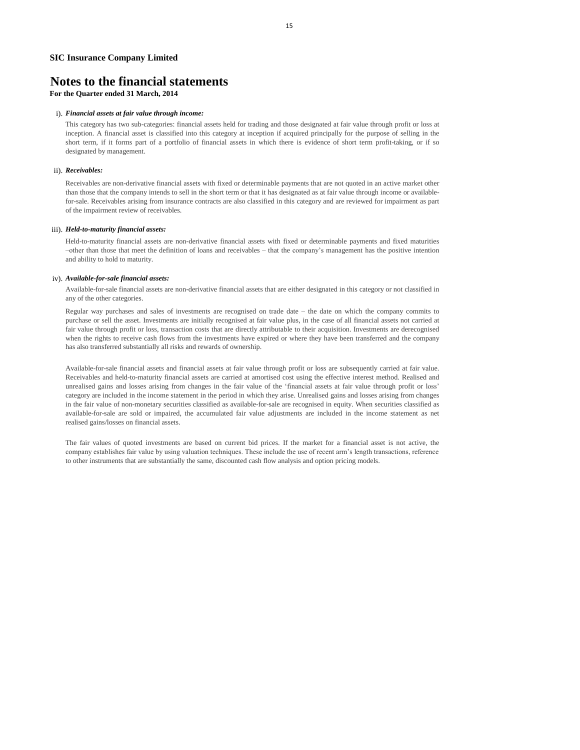## **Notes to the financial statements**

### **For the Quarter ended 31 March, 2014**

#### i). *Financial assets at fair value through income:*

This category has two sub-categories: financial assets held for trading and those designated at fair value through profit or loss at inception. A financial asset is classified into this category at inception if acquired principally for the purpose of selling in the short term, if it forms part of a portfolio of financial assets in which there is evidence of short term profit-taking, or if so designated by management.

#### ii). *Receivables:*

Receivables are non-derivative financial assets with fixed or determinable payments that are not quoted in an active market other than those that the company intends to sell in the short term or that it has designated as at fair value through income or availablefor-sale. Receivables arising from insurance contracts are also classified in this category and are reviewed for impairment as part of the impairment review of receivables.

#### iii). *Held-to-maturity financial assets:*

Held-to-maturity financial assets are non-derivative financial assets with fixed or determinable payments and fixed maturities –other than those that meet the definition of loans and receivables – that the company's management has the positive intention and ability to hold to maturity.

#### iv). *Available-for-sale financial assets:*

Available-for-sale financial assets are non-derivative financial assets that are either designated in this category or not classified in any of the other categories.

Regular way purchases and sales of investments are recognised on trade date – the date on which the company commits to purchase or sell the asset. Investments are initially recognised at fair value plus, in the case of all financial assets not carried at fair value through profit or loss, transaction costs that are directly attributable to their acquisition. Investments are derecognised when the rights to receive cash flows from the investments have expired or where they have been transferred and the company has also transferred substantially all risks and rewards of ownership.

Available-for-sale financial assets and financial assets at fair value through profit or loss are subsequently carried at fair value. Receivables and held-to-maturity financial assets are carried at amortised cost using the effective interest method. Realised and unrealised gains and losses arising from changes in the fair value of the 'financial assets at fair value through profit or loss' category are included in the income statement in the period in which they arise. Unrealised gains and losses arising from changes in the fair value of non-monetary securities classified as available-for-sale are recognised in equity. When securities classified as available-for-sale are sold or impaired, the accumulated fair value adjustments are included in the income statement as net realised gains/losses on financial assets.

The fair values of quoted investments are based on current bid prices. If the market for a financial asset is not active, the company establishes fair value by using valuation techniques. These include the use of recent arm's length transactions, reference to other instruments that are substantially the same, discounted cash flow analysis and option pricing models.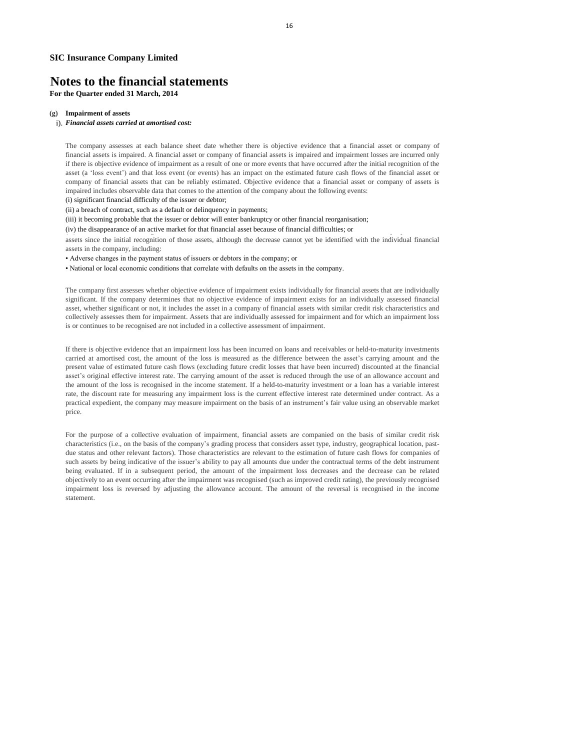## **Notes to the financial statements**

**For the Quarter ended 31 March, 2014**

#### **(g) Impairment of assets**

i). *Financial assets carried at amortised cost:*

The company assesses at each balance sheet date whether there is objective evidence that a financial asset or company of financial assets is impaired. A financial asset or company of financial assets is impaired and impairment losses are incurred only if there is objective evidence of impairment as a result of one or more events that have occurred after the initial recognition of the asset (a 'loss event') and that loss event (or events) has an impact on the estimated future cash flows of the financial asset or company of financial assets that can be reliably estimated. Objective evidence that a financial asset or company of assets is impaired includes observable data that comes to the attention of the company about the following events:

(i) significant financial difficulty of the issuer or debtor;

(ii) a breach of contract, such as a default or delinquency in payments;

(iii) it becoming probable that the issuer or debtor will enter bankruptcy or other financial reorganisation;

(iv) the disappearance of an active market for that financial asset because of financial difficulties; or

assets since the initial recognition of those assets, although the decrease cannot yet be identified with the individual financial assets in the company, including:

• Adverse changes in the payment status of issuers or debtors in the company; or

• National or local economic conditions that correlate with defaults on the assets in the company.

The company first assesses whether objective evidence of impairment exists individually for financial assets that are individually significant. If the company determines that no objective evidence of impairment exists for an individually assessed financial asset, whether significant or not, it includes the asset in a company of financial assets with similar credit risk characteristics and collectively assesses them for impairment. Assets that are individually assessed for impairment and for which an impairment loss is or continues to be recognised are not included in a collective assessment of impairment.

If there is objective evidence that an impairment loss has been incurred on loans and receivables or held-to-maturity investments carried at amortised cost, the amount of the loss is measured as the difference between the asset's carrying amount and the present value of estimated future cash flows (excluding future credit losses that have been incurred) discounted at the financial asset's original effective interest rate. The carrying amount of the asset is reduced through the use of an allowance account and the amount of the loss is recognised in the income statement. If a held-to-maturity investment or a loan has a variable interest rate, the discount rate for measuring any impairment loss is the current effective interest rate determined under contract. As a practical expedient, the company may measure impairment on the basis of an instrument's fair value using an observable market price.

For the purpose of a collective evaluation of impairment, financial assets are companied on the basis of similar credit risk characteristics (i.e., on the basis of the company's grading process that considers asset type, industry, geographical location, pastdue status and other relevant factors). Those characteristics are relevant to the estimation of future cash flows for companies of such assets by being indicative of the issuer's ability to pay all amounts due under the contractual terms of the debt instrument being evaluated. If in a subsequent period, the amount of the impairment loss decreases and the decrease can be related objectively to an event occurring after the impairment was recognised (such as improved credit rating), the previously recognised impairment loss is reversed by adjusting the allowance account. The amount of the reversal is recognised in the income statement.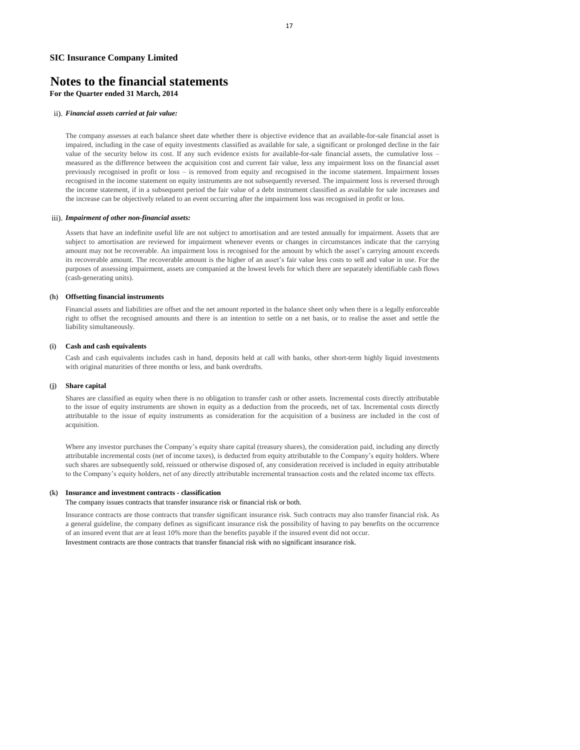## **Notes to the financial statements**

## **For the Quarter ended 31 March, 2014**

#### ii). *Financial assets carried at fair value:*

The company assesses at each balance sheet date whether there is objective evidence that an available-for-sale financial asset is impaired, including in the case of equity investments classified as available for sale, a significant or prolonged decline in the fair value of the security below its cost. If any such evidence exists for available-for-sale financial assets, the cumulative loss – measured as the difference between the acquisition cost and current fair value, less any impairment loss on the financial asset previously recognised in profit or loss – is removed from equity and recognised in the income statement. Impairment losses recognised in the income statement on equity instruments are not subsequently reversed. The impairment loss is reversed through the income statement, if in a subsequent period the fair value of a debt instrument classified as available for sale increases and the increase can be objectively related to an event occurring after the impairment loss was recognised in profit or loss.

#### iii). *Impairment of other non-financial assets:*

Assets that have an indefinite useful life are not subject to amortisation and are tested annually for impairment. Assets that are subject to amortisation are reviewed for impairment whenever events or changes in circumstances indicate that the carrying amount may not be recoverable. An impairment loss is recognised for the amount by which the asset's carrying amount exceeds its recoverable amount. The recoverable amount is the higher of an asset's fair value less costs to sell and value in use. For the purposes of assessing impairment, assets are companied at the lowest levels for which there are separately identifiable cash flows (cash-generating units).

#### **(h) Offsetting financial instruments**

Financial assets and liabilities are offset and the net amount reported in the balance sheet only when there is a legally enforceable right to offset the recognised amounts and there is an intention to settle on a net basis, or to realise the asset and settle the liability simultaneously.

#### **(i) Cash and cash equivalents**

Cash and cash equivalents includes cash in hand, deposits held at call with banks, other short-term highly liquid investments with original maturities of three months or less, and bank overdrafts.

#### **(j) Share capital**

Shares are classified as equity when there is no obligation to transfer cash or other assets. Incremental costs directly attributable to the issue of equity instruments are shown in equity as a deduction from the proceeds, net of tax. Incremental costs directly attributable to the issue of equity instruments as consideration for the acquisition of a business are included in the cost of acquisition.

Where any investor purchases the Company's equity share capital (treasury shares), the consideration paid, including any directly attributable incremental costs (net of income taxes), is deducted from equity attributable to the Company's equity holders. Where such shares are subsequently sold, reissued or otherwise disposed of, any consideration received is included in equity attributable to the Company's equity holders, net of any directly attributable incremental transaction costs and the related income tax effects.

#### **(k) Insurance and investment contracts - classification**

The company issues contracts that transfer insurance risk or financial risk or both.

Insurance contracts are those contracts that transfer significant insurance risk. Such contracts may also transfer financial risk. As a general guideline, the company defines as significant insurance risk the possibility of having to pay benefits on the occurrence of an insured event that are at least 10% more than the benefits payable if the insured event did not occur. Investment contracts are those contracts that transfer financial risk with no significant insurance risk.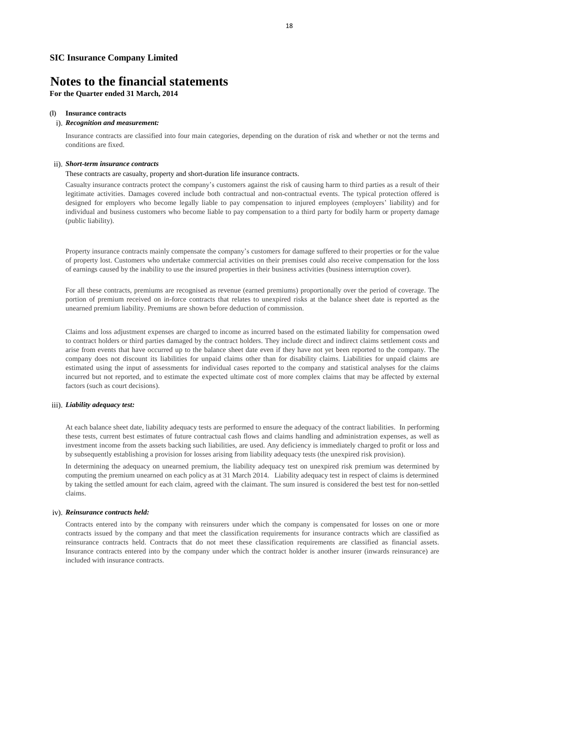## **Notes to the financial statements**

## **For the Quarter ended 31 March, 2014**

#### **(l) Insurance contracts**

#### i). *Recognition and measurement:*

Insurance contracts are classified into four main categories, depending on the duration of risk and whether or not the terms and conditions are fixed.

#### ii). *Short-term insurance contracts*

These contracts are casualty, property and short-duration life insurance contracts.

Casualty insurance contracts protect the company's customers against the risk of causing harm to third parties as a result of their legitimate activities. Damages covered include both contractual and non-contractual events. The typical protection offered is designed for employers who become legally liable to pay compensation to injured employees (employers' liability) and for individual and business customers who become liable to pay compensation to a third party for bodily harm or property damage (public liability).

Property insurance contracts mainly compensate the company's customers for damage suffered to their properties or for the value of property lost. Customers who undertake commercial activities on their premises could also receive compensation for the loss of earnings caused by the inability to use the insured properties in their business activities (business interruption cover).

For all these contracts, premiums are recognised as revenue (earned premiums) proportionally over the period of coverage. The portion of premium received on in-force contracts that relates to unexpired risks at the balance sheet date is reported as the unearned premium liability. Premiums are shown before deduction of commission.

Claims and loss adjustment expenses are charged to income as incurred based on the estimated liability for compensation owed to contract holders or third parties damaged by the contract holders. They include direct and indirect claims settlement costs and arise from events that have occurred up to the balance sheet date even if they have not yet been reported to the company. The company does not discount its liabilities for unpaid claims other than for disability claims. Liabilities for unpaid claims are estimated using the input of assessments for individual cases reported to the company and statistical analyses for the claims incurred but not reported, and to estimate the expected ultimate cost of more complex claims that may be affected by external factors (such as court decisions).

#### iii). *Liability adequacy test:*

At each balance sheet date, liability adequacy tests are performed to ensure the adequacy of the contract liabilities. In performing these tests, current best estimates of future contractual cash flows and claims handling and administration expenses, as well as investment income from the assets backing such liabilities, are used. Any deficiency is immediately charged to profit or loss and by subsequently establishing a provision for losses arising from liability adequacy tests (the unexpired risk provision).

In determining the adequacy on unearned premium, the liability adequacy test on unexpired risk premium was determined by computing the premium unearned on each policy as at 31 March 2014. Liability adequacy test in respect of claims is determined by taking the settled amount for each claim, agreed with the claimant. The sum insured is considered the best test for non-settled claims.

#### iv). *Reinsurance contracts held:*

Contracts entered into by the company with reinsurers under which the company is compensated for losses on one or more contracts issued by the company and that meet the classification requirements for insurance contracts which are classified as reinsurance contracts held. Contracts that do not meet these classification requirements are classified as financial assets. Insurance contracts entered into by the company under which the contract holder is another insurer (inwards reinsurance) are included with insurance contracts.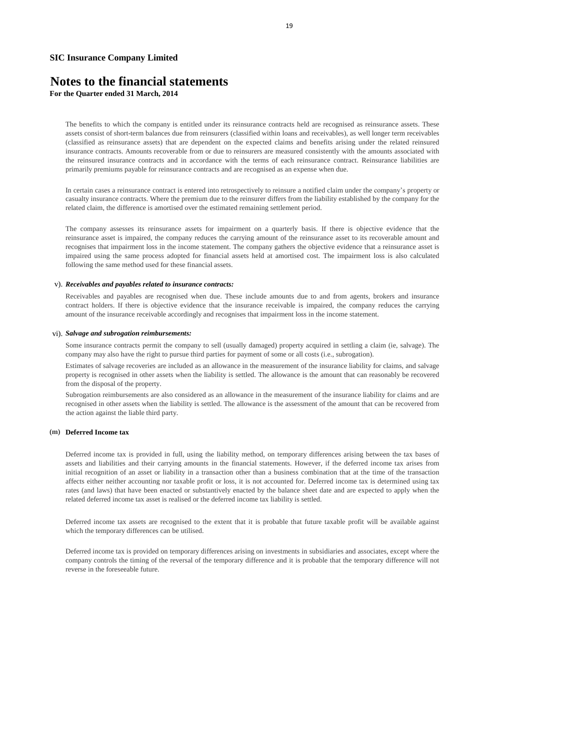## **Notes to the financial statements**

**For the Quarter ended 31 March, 2014**

The benefits to which the company is entitled under its reinsurance contracts held are recognised as reinsurance assets. These assets consist of short-term balances due from reinsurers (classified within loans and receivables), as well longer term receivables (classified as reinsurance assets) that are dependent on the expected claims and benefits arising under the related reinsured insurance contracts. Amounts recoverable from or due to reinsurers are measured consistently with the amounts associated with the reinsured insurance contracts and in accordance with the terms of each reinsurance contract. Reinsurance liabilities are primarily premiums payable for reinsurance contracts and are recognised as an expense when due.

In certain cases a reinsurance contract is entered into retrospectively to reinsure a notified claim under the company's property or casualty insurance contracts. Where the premium due to the reinsurer differs from the liability established by the company for the related claim, the difference is amortised over the estimated remaining settlement period.

The company assesses its reinsurance assets for impairment on a quarterly basis. If there is objective evidence that the reinsurance asset is impaired, the company reduces the carrying amount of the reinsurance asset to its recoverable amount and recognises that impairment loss in the income statement. The company gathers the objective evidence that a reinsurance asset is impaired using the same process adopted for financial assets held at amortised cost. The impairment loss is also calculated following the same method used for these financial assets.

#### v). *Receivables and payables related to insurance contracts:*

Receivables and payables are recognised when due. These include amounts due to and from agents, brokers and insurance contract holders. If there is objective evidence that the insurance receivable is impaired, the company reduces the carrying amount of the insurance receivable accordingly and recognises that impairment loss in the income statement.

#### vi). *Salvage and subrogation reimbursements:*

Some insurance contracts permit the company to sell (usually damaged) property acquired in settling a claim (ie, salvage). The company may also have the right to pursue third parties for payment of some or all costs (i.e., subrogation).

Estimates of salvage recoveries are included as an allowance in the measurement of the insurance liability for claims, and salvage property is recognised in other assets when the liability is settled. The allowance is the amount that can reasonably be recovered from the disposal of the property.

Subrogation reimbursements are also considered as an allowance in the measurement of the insurance liability for claims and are recognised in other assets when the liability is settled. The allowance is the assessment of the amount that can be recovered from the action against the liable third party.

#### **(m) Deferred Income tax**

Deferred income tax is provided in full, using the liability method, on temporary differences arising between the tax bases of assets and liabilities and their carrying amounts in the financial statements. However, if the deferred income tax arises from initial recognition of an asset or liability in a transaction other than a business combination that at the time of the transaction affects either neither accounting nor taxable profit or loss, it is not accounted for. Deferred income tax is determined using tax rates (and laws) that have been enacted or substantively enacted by the balance sheet date and are expected to apply when the related deferred income tax asset is realised or the deferred income tax liability is settled.

Deferred income tax assets are recognised to the extent that it is probable that future taxable profit will be available against which the temporary differences can be utilised.

Deferred income tax is provided on temporary differences arising on investments in subsidiaries and associates, except where the company controls the timing of the reversal of the temporary difference and it is probable that the temporary difference will not reverse in the foreseeable future.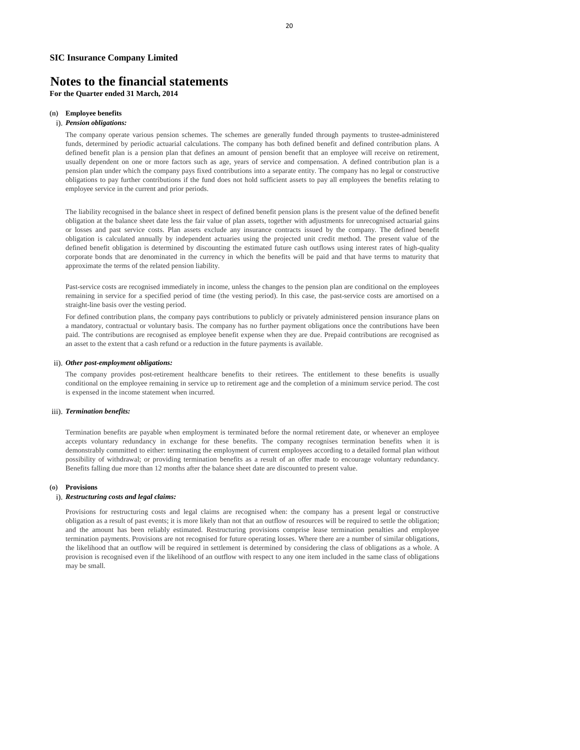## **Notes to the financial statements**

## **For the Quarter ended 31 March, 2014**

#### **(n) Employee benefits**

#### i). *Pension obligations:*

The company operate various pension schemes. The schemes are generally funded through payments to trustee-administered funds, determined by periodic actuarial calculations. The company has both defined benefit and defined contribution plans. A defined benefit plan is a pension plan that defines an amount of pension benefit that an employee will receive on retirement, usually dependent on one or more factors such as age, years of service and compensation. A defined contribution plan is a pension plan under which the company pays fixed contributions into a separate entity. The company has no legal or constructive obligations to pay further contributions if the fund does not hold sufficient assets to pay all employees the benefits relating to employee service in the current and prior periods.

The liability recognised in the balance sheet in respect of defined benefit pension plans is the present value of the defined benefit obligation at the balance sheet date less the fair value of plan assets, together with adjustments for unrecognised actuarial gains or losses and past service costs. Plan assets exclude any insurance contracts issued by the company. The defined benefit obligation is calculated annually by independent actuaries using the projected unit credit method. The present value of the defined benefit obligation is determined by discounting the estimated future cash outflows using interest rates of high-quality corporate bonds that are denominated in the currency in which the benefits will be paid and that have terms to maturity that approximate the terms of the related pension liability.

Past-service costs are recognised immediately in income, unless the changes to the pension plan are conditional on the employees remaining in service for a specified period of time (the vesting period). In this case, the past-service costs are amortised on a straight-line basis over the vesting period.

For defined contribution plans, the company pays contributions to publicly or privately administered pension insurance plans on a mandatory, contractual or voluntary basis. The company has no further payment obligations once the contributions have been paid. The contributions are recognised as employee benefit expense when they are due. Prepaid contributions are recognised as an asset to the extent that a cash refund or a reduction in the future payments is available.

#### ii). *Other post-employment obligations:*

The company provides post-retirement healthcare benefits to their retirees. The entitlement to these benefits is usually conditional on the employee remaining in service up to retirement age and the completion of a minimum service period. The cost is expensed in the income statement when incurred.

#### iii). *Termination benefits:*

Termination benefits are payable when employment is terminated before the normal retirement date, or whenever an employee accepts voluntary redundancy in exchange for these benefits. The company recognises termination benefits when it is demonstrably committed to either: terminating the employment of current employees according to a detailed formal plan without possibility of withdrawal; or providing termination benefits as a result of an offer made to encourage voluntary redundancy. Benefits falling due more than 12 months after the balance sheet date are discounted to present value.

#### **(o) Provisions**

#### i). *Restructuring costs and legal claims:*

Provisions for restructuring costs and legal claims are recognised when: the company has a present legal or constructive obligation as a result of past events; it is more likely than not that an outflow of resources will be required to settle the obligation; and the amount has been reliably estimated. Restructuring provisions comprise lease termination penalties and employee termination payments. Provisions are not recognised for future operating losses. Where there are a number of similar obligations, the likelihood that an outflow will be required in settlement is determined by considering the class of obligations as a whole. A provision is recognised even if the likelihood of an outflow with respect to any one item included in the same class of obligations may be small.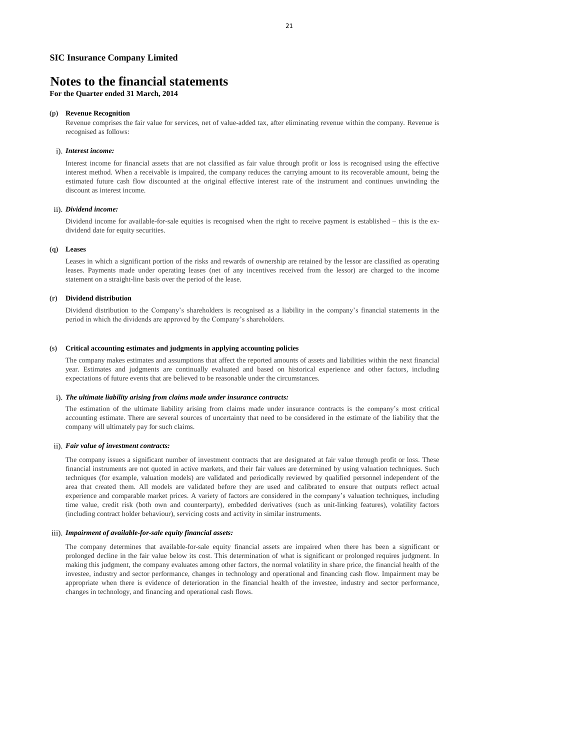## **Notes to the financial statements**

### **For the Quarter ended 31 March, 2014**

#### **(p) Revenue Recognition**

Revenue comprises the fair value for services, net of value-added tax, after eliminating revenue within the company. Revenue is recognised as follows:

#### i). *Interest income:*

Interest income for financial assets that are not classified as fair value through profit or loss is recognised using the effective interest method. When a receivable is impaired, the company reduces the carrying amount to its recoverable amount, being the estimated future cash flow discounted at the original effective interest rate of the instrument and continues unwinding the discount as interest income.

#### ii). *Dividend income:*

Dividend income for available-for-sale equities is recognised when the right to receive payment is established – this is the exdividend date for equity securities.

#### **(q) Leases**

Leases in which a significant portion of the risks and rewards of ownership are retained by the lessor are classified as operating leases. Payments made under operating leases (net of any incentives received from the lessor) are charged to the income statement on a straight-line basis over the period of the lease.

#### **(r) Dividend distribution**

Dividend distribution to the Company's shareholders is recognised as a liability in the company's financial statements in the period in which the dividends are approved by the Company's shareholders.

#### **(s) Critical accounting estimates and judgments in applying accounting policies**

The company makes estimates and assumptions that affect the reported amounts of assets and liabilities within the next financial year. Estimates and judgments are continually evaluated and based on historical experience and other factors, including expectations of future events that are believed to be reasonable under the circumstances.

#### i). *The ultimate liability arising from claims made under insurance contracts:*

The estimation of the ultimate liability arising from claims made under insurance contracts is the company's most critical accounting estimate. There are several sources of uncertainty that need to be considered in the estimate of the liability that the company will ultimately pay for such claims.

#### ii). *Fair value of investment contracts:*

The company issues a significant number of investment contracts that are designated at fair value through profit or loss. These financial instruments are not quoted in active markets, and their fair values are determined by using valuation techniques. Such techniques (for example, valuation models) are validated and periodically reviewed by qualified personnel independent of the area that created them. All models are validated before they are used and calibrated to ensure that outputs reflect actual experience and comparable market prices. A variety of factors are considered in the company's valuation techniques, including time value, credit risk (both own and counterparty), embedded derivatives (such as unit-linking features), volatility factors (including contract holder behaviour), servicing costs and activity in similar instruments.

#### iii). *Impairment of available-for-sale equity financial assets:*

The company determines that available-for-sale equity financial assets are impaired when there has been a significant or prolonged decline in the fair value below its cost. This determination of what is significant or prolonged requires judgment. In making this judgment, the company evaluates among other factors, the normal volatility in share price, the financial health of the investee, industry and sector performance, changes in technology and operational and financing cash flow. Impairment may be appropriate when there is evidence of deterioration in the financial health of the investee, industry and sector performance, changes in technology, and financing and operational cash flows.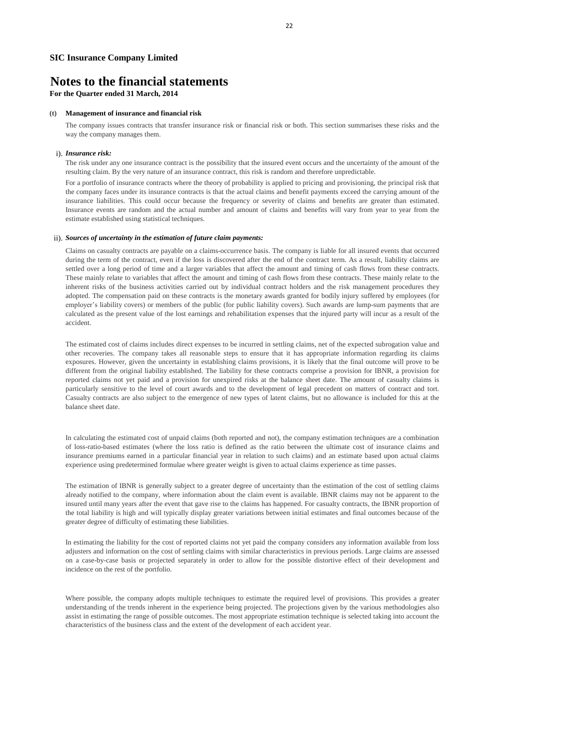## **Notes to the financial statements**

**For the Quarter ended 31 March, 2014**

#### **(t) Management of insurance and financial risk**

The company issues contracts that transfer insurance risk or financial risk or both. This section summarises these risks and the way the company manages them.

#### i). *Insurance risk:*

The risk under any one insurance contract is the possibility that the insured event occurs and the uncertainty of the amount of the resulting claim. By the very nature of an insurance contract, this risk is random and therefore unpredictable.

For a portfolio of insurance contracts where the theory of probability is applied to pricing and provisioning, the principal risk that the company faces under its insurance contracts is that the actual claims and benefit payments exceed the carrying amount of the insurance liabilities. This could occur because the frequency or severity of claims and benefits are greater than estimated. Insurance events are random and the actual number and amount of claims and benefits will vary from year to year from the estimate established using statistical techniques.

#### ii). *Sources of uncertainty in the estimation of future claim payments:*

Claims on casualty contracts are payable on a claims-occurrence basis. The company is liable for all insured events that occurred during the term of the contract, even if the loss is discovered after the end of the contract term. As a result, liability claims are settled over a long period of time and a larger variables that affect the amount and timing of cash flows from these contracts. These mainly relate to variables that affect the amount and timing of cash flows from these contracts. These mainly relate to the inherent risks of the business activities carried out by individual contract holders and the risk management procedures they adopted. The compensation paid on these contracts is the monetary awards granted for bodily injury suffered by employees (for employer's liability covers) or members of the public (for public liability covers). Such awards are lump-sum payments that are calculated as the present value of the lost earnings and rehabilitation expenses that the injured party will incur as a result of the accident.

The estimated cost of claims includes direct expenses to be incurred in settling claims, net of the expected subrogation value and other recoveries. The company takes all reasonable steps to ensure that it has appropriate information regarding its claims exposures. However, given the uncertainty in establishing claims provisions, it is likely that the final outcome will prove to be different from the original liability established. The liability for these contracts comprise a provision for IBNR, a provision for reported claims not yet paid and a provision for unexpired risks at the balance sheet date. The amount of casualty claims is particularly sensitive to the level of court awards and to the development of legal precedent on matters of contract and tort. Casualty contracts are also subject to the emergence of new types of latent claims, but no allowance is included for this at the balance sheet date.

In calculating the estimated cost of unpaid claims (both reported and not), the company estimation techniques are a combination of loss-ratio-based estimates (where the loss ratio is defined as the ratio between the ultimate cost of insurance claims and insurance premiums earned in a particular financial year in relation to such claims) and an estimate based upon actual claims experience using predetermined formulae where greater weight is given to actual claims experience as time passes.

The estimation of IBNR is generally subject to a greater degree of uncertainty than the estimation of the cost of settling claims already notified to the company, where information about the claim event is available. IBNR claims may not be apparent to the insured until many years after the event that gave rise to the claims has happened. For casualty contracts, the IBNR proportion of the total liability is high and will typically display greater variations between initial estimates and final outcomes because of the greater degree of difficulty of estimating these liabilities.

In estimating the liability for the cost of reported claims not yet paid the company considers any information available from loss adjusters and information on the cost of settling claims with similar characteristics in previous periods. Large claims are assessed on a case-by-case basis or projected separately in order to allow for the possible distortive effect of their development and incidence on the rest of the portfolio.

Where possible, the company adopts multiple techniques to estimate the required level of provisions. This provides a greater understanding of the trends inherent in the experience being projected. The projections given by the various methodologies also assist in estimating the range of possible outcomes. The most appropriate estimation technique is selected taking into account the characteristics of the business class and the extent of the development of each accident year.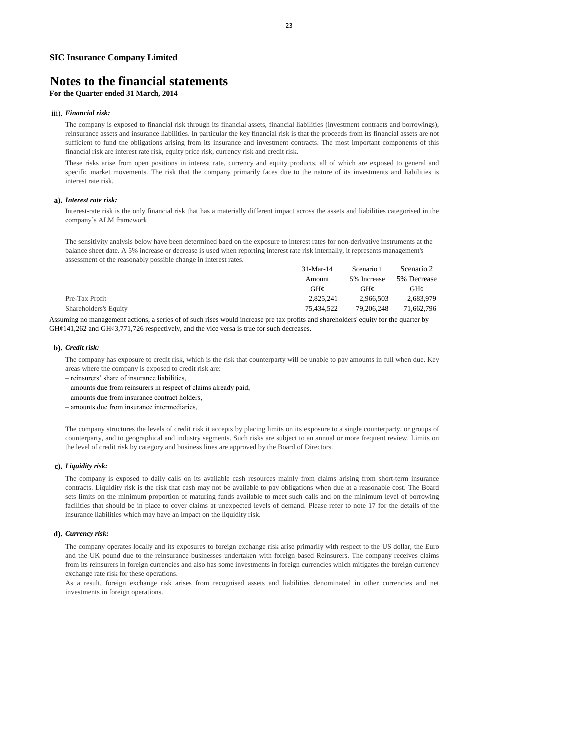## **Notes to the financial statements**

## **For the Quarter ended 31 March, 2014**

#### iii). *Financial risk:*

The company is exposed to financial risk through its financial assets, financial liabilities (investment contracts and borrowings), reinsurance assets and insurance liabilities. In particular the key financial risk is that the proceeds from its financial assets are not sufficient to fund the obligations arising from its insurance and investment contracts. The most important components of this financial risk are interest rate risk, equity price risk, currency risk and credit risk.

These risks arise from open positions in interest rate, currency and equity products, all of which are exposed to general and specific market movements. The risk that the company primarily faces due to the nature of its investments and liabilities is interest rate risk.

#### **a).** *Interest rate risk:*

Interest-rate risk is the only financial risk that has a materially different impact across the assets and liabilities categorised in the company's ALM framework.

31-Mar-14 Scenario 1 Scenario 2 The sensitivity analysis below have been determined baed on the exposure to interest rates for non-derivative instruments at the balance sheet date. A 5% increase or decrease is used when reporting interest rate risk internally, it represents management's assessment of the reasonably possible change in interest rates.

|                       | 31-Mar-14  | Scenario 1  | $\frac{1}{2}$ |
|-----------------------|------------|-------------|---------------|
|                       | Amount     | 5% Increase | 5% Decrease   |
|                       | GH¢        | GH¢         | GH¢           |
| Pre-Tax Profit        | 2.825.241  | 2.966.503   | 2.683.979     |
| Shareholders's Equity | 75.434.522 | 79.206.248  | 71.662.796    |
|                       |            |             |               |

Assuming no management actions, a series of of such rises would increase pre tax profits and shareholders' equity for the quarter by GH¢141,262 and GH¢3,771,726 respectively, and the vice versa is true for such decreases.

#### **b).** *Credit risk:*

The company has exposure to credit risk, which is the risk that counterparty will be unable to pay amounts in full when due. Key areas where the company is exposed to credit risk are:

- reinsurers' share of insurance liabilities,
- amounts due from reinsurers in respect of claims already paid,
- amounts due from insurance contract holders,
- amounts due from insurance intermediaries,

The company structures the levels of credit risk it accepts by placing limits on its exposure to a single counterparty, or groups of counterparty, and to geographical and industry segments. Such risks are subject to an annual or more frequent review. Limits on the level of credit risk by category and business lines are approved by the Board of Directors.

#### **c).** *Liquidity risk:*

The company is exposed to daily calls on its available cash resources mainly from claims arising from short-term insurance contracts. Liquidity risk is the risk that cash may not be available to pay obligations when due at a reasonable cost. The Board sets limits on the minimum proportion of maturing funds available to meet such calls and on the minimum level of borrowing facilities that should be in place to cover claims at unexpected levels of demand. Please refer to note 17 for the details of the insurance liabilities which may have an impact on the liquidity risk.

#### **d).** *Currency risk:*

The company operates locally and its exposures to foreign exchange risk arise primarily with respect to the US dollar, the Euro and the UK pound due to the reinsurance businesses undertaken with foreign based Reinsurers. The company receives claims from its reinsurers in foreign currencies and also has some investments in foreign currencies which mitigates the foreign currency exchange rate risk for these operations.

As a result, foreign exchange risk arises from recognised assets and liabilities denominated in other currencies and net investments in foreign operations.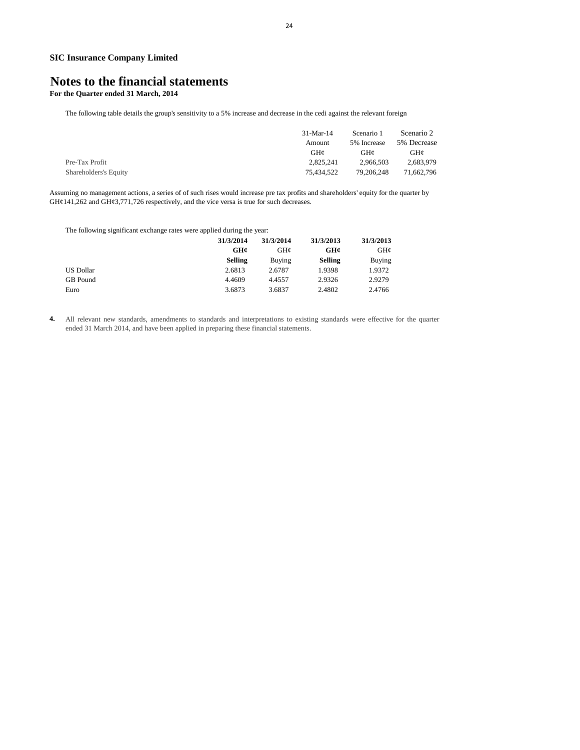## **Notes to the financial statements**

## **For the Quarter ended 31 March, 2014**

The following table details the group's sensitivity to a 5% increase and decrease in the cedi against the relevant foreign

|                       | 31-Mar-14  | Scenario 1  | Scenario 2  |
|-----------------------|------------|-------------|-------------|
|                       | Amount     | 5% Increase | 5% Decrease |
|                       | GH¢        | GH¢         | GH¢         |
| Pre-Tax Profit        | 2.825.241  | 2.966.503   | 2.683.979   |
| Shareholders's Equity | 75.434.522 | 79,206,248  | 71.662.796  |

Assuming no management actions, a series of of such rises would increase pre tax profits and shareholders' equity for the quarter by GH¢141,262 and GH¢3,771,726 respectively, and the vice versa is true for such decreases.

The following significant exchange rates were applied during the year:

|                  | 31/3/2014      | 31/3/2014 | 31/3/2013      | 31/3/2013 |
|------------------|----------------|-----------|----------------|-----------|
|                  | GH¢            | GH¢       | GHc            | GHz       |
|                  | <b>Selling</b> | Buying    | <b>Selling</b> | Buying    |
| <b>US Dollar</b> | 2.6813         | 2.6787    | 1.9398         | 1.9372    |
| GB Pound         | 4.4609         | 4.4557    | 2.9326         | 2.9279    |
| Euro             | 3.6873         | 3.6837    | 2.4802         | 2.4766    |

**4.** All relevant new standards, amendments to standards and interpretations to existing standards were effective for the quarter ended 31 March 2014, and have been applied in preparing these financial statements.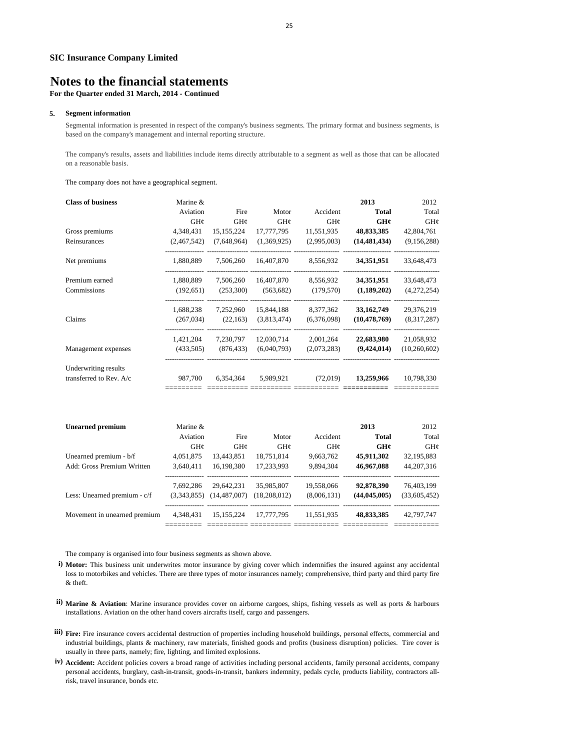## **Notes to the financial statements**

**For the Quarter ended 31 March, 2014 - Continued**

#### **5. Segment information**

Segmental information is presented in respect of the company's business segments. The primary format and business segments, is based on the company's management and internal reporting structure.

The company's results, assets and liabilities include items directly attributable to a segment as well as those that can be allocated on a reasonable basis.

The company does not have a geographical segment.

| <b>Class of business</b> | Marine &    |              |             |             | 2013           | 2012           |
|--------------------------|-------------|--------------|-------------|-------------|----------------|----------------|
|                          | Aviation    | Fire         | Motor       | Accident    | <b>Total</b>   | Total          |
|                          | GH¢         | GH¢          | GH¢         | GH¢         | GH¢            | GH¢            |
| Gross premiums           | 4,348,431   | 15, 155, 224 | 17,777,795  | 11,551,935  | 48,833,385     | 42,804,761     |
| Reinsurances             | (2,467,542) | (7,648,964)  | (1,369,925) | (2,995,003) | (14, 481, 434) | (9,156,288)    |
| Net premiums             | 1,880,889   | 7,506,260    | 16,407,870  | 8,556,932   | 34,351,951     | 33,648,473     |
| Premium earned           | 1,880,889   | 7,506,260    | 16,407,870  | 8,556,932   | 34,351,951     | 33,648,473     |
| Commissions              | (192, 651)  | (253,300)    | (563, 682)  | (179, 570)  | (1,189,202)    | (4,272,254)    |
|                          | 1,688,238   | 7,252,960    | 15,844,188  | 8,377,362   | 33, 162, 749   | 29,376,219     |
| Claims                   | (267, 034)  | (22, 163)    | (3,813,474) | (6,376,098) | (10, 478, 769) | (8,317,287)    |
|                          | 1,421,204   | 7,230,797    | 12,030,714  | 2,001,264   | 22,683,980     | 21,058,932     |
| Management expenses      | (433,505)   | (876, 433)   | (6,040,793) | (2,073,283) | (9,424,014)    | (10, 260, 602) |
| Underwriting results     |             |              |             |             |                |                |
| transferred to Rev. A/c  | 987,700     | 6,354,364    | 5,989,921   | (72,019)    | 13,259,966     | 10,798,330     |
|                          |             |              |             |             |                |                |

| <b>Unearned premium</b>       | Marine &    |              |              |             | 2013           | 2012         |
|-------------------------------|-------------|--------------|--------------|-------------|----------------|--------------|
|                               | Aviation    | Fire         | Motor        | Accident    | Total          | Total        |
|                               | GHC         | GHz          | GH¢          | GH@         | GH¢            | GHC          |
| Unearned premium $- b/f$      | 4.051.875   | 13.443.851   | 18.751.814   | 9.663.762   | 45.911.302     | 32, 195, 883 |
| Add: Gross Premium Written    | 3.640.411   | 16.198.380   | 17.233.993   | 9.894.304   | 46,967,088     | 44.207.316   |
|                               | 7.692.286   | 29.642.231   | 35.985.807   | 19.558.066  | 92,878,390     | 76,403,199   |
| Less: Unearned premium $-c/f$ | (3.343.855) | (14.487.007) | (18.208.012) | (8,006,131) | (44, 045, 005) | (33,605,452) |
| Movement in unearned premium  | 4.348.431   | 15.155.224   | 17,777,795   | 11.551.935  | 48,833,385     | 42,797,747   |
|                               |             |              |              |             |                |              |

The company is organised into four business segments as shown above.

**i) Motor:** This business unit underwrites motor insurance by giving cover which indemnifies the insured against any accidental loss to motorbikes and vehicles. There are three types of motor insurances namely; comprehensive, third party and third party fire & theft.

**ii) Marine & Aviation**: Marine insurance provides cover on airborne cargoes, ships, fishing vessels as well as ports & harbours installations. Aviation on the other hand covers aircrafts itself, cargo and passengers.

- **iii) Fire:** Fire insurance covers accidental destruction of properties including household buildings, personal effects, commercial and industrial buildings, plants & machinery, raw materials, finished goods and profits (business disruption) policies. Tire cover is usually in three parts, namely; fire, lighting, and limited explosions.
- **iv) Accident:** Accident policies covers a broad range of activities including personal accidents, family personal accidents, company personal accidents, burglary, cash-in-transit, goods-in-transit, bankers indemnity, pedals cycle, products liability, contractors allrisk, travel insurance, bonds etc.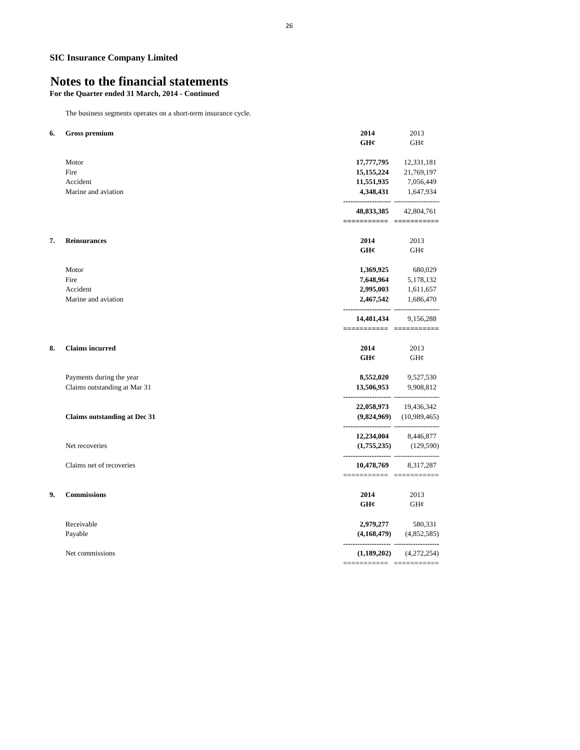## **Notes to the financial statements**

## **For the Quarter ended 31 March, 2014 - Continued**

The business segments operates on a short-term insurance cycle.

| 6. | <b>Gross premium</b>                | 2014<br>GH¢                                        | 2013<br>$\mathrm{GH}\mathfrak{C}$         |
|----|-------------------------------------|----------------------------------------------------|-------------------------------------------|
|    | Motor                               | 17,777,795                                         | 12,331,181                                |
|    | Fire                                | 15,155,224                                         | 21,769,197                                |
|    | Accident                            |                                                    | 11,551,935 7,056,449                      |
|    | Marine and aviation                 | -------------------- -----------------             | 4,348,431 1,647,934                       |
|    |                                     | ========================                           | 48,833,385 42,804,761                     |
|    |                                     |                                                    |                                           |
| 7. | <b>Reinsurances</b>                 | 2014                                               | 2013                                      |
|    |                                     | GH¢                                                | GH¢                                       |
|    | Motor                               | 1,369,925                                          | 680,029                                   |
|    | Fire                                | 7,648,964                                          | 5,178,132                                 |
|    | Accident                            | 2,995,003                                          | 1,611,657                                 |
|    | Marine and aviation                 | 2,467,542<br>                                      | 1,686,470                                 |
|    |                                     | 14,481,434<br>=======================              | 9,156,288                                 |
|    |                                     |                                                    |                                           |
| 8. | <b>Claims</b> incurred              | 2014<br>GH¢                                        | 2013<br>GH¢                               |
|    | Payments during the year            | 8,552,020                                          | 9,527,530                                 |
|    | Claims outstanding at Mar 31        | 13,506,953<br>-------------------- --------------- | 9,908,812                                 |
|    |                                     |                                                    | 22,058,973 19,436,342                     |
|    | <b>Claims outstanding at Dec 31</b> | (9,824,969)                                        | (10,989,465)                              |
|    |                                     |                                                    | 12,234,004 8,446,877                      |
|    | Net recoveries                      | ----------------- ---                              | $(1,755,235)$ $(129,590)$<br>------------ |
|    | Claims net of recoveries            | 10,478,769<br>=========================            | 8,317,287                                 |
| 9. | <b>Commissions</b>                  | 2014                                               | 2013                                      |
|    |                                     | GH¢                                                | GH¢                                       |
|    | Receivable                          | 2,979,277                                          | 580,331                                   |
|    | Payable                             | (4,168,479)<br>                                    | (4,852,585)                               |
|    | Net commissions                     | (1,189,202)                                        | (4,272,254)                               |
|    |                                     | =====================                              |                                           |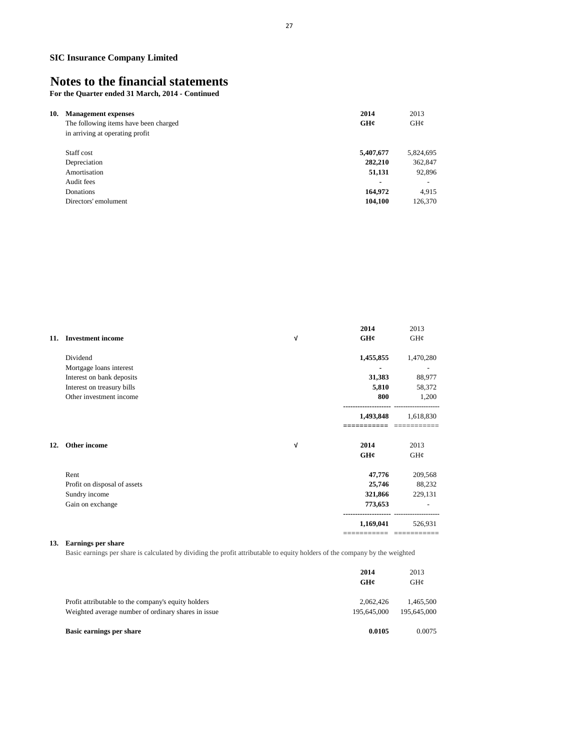## **Notes to the financial statements**

**For the Quarter ended 31 March, 2014 - Continued**

| 10. | <b>Management</b> expenses            | 2014      | 2013                     |
|-----|---------------------------------------|-----------|--------------------------|
|     | The following items have been charged | GH¢       | GH¢                      |
|     | in arriving at operating profit       |           |                          |
|     |                                       |           |                          |
|     | Staff cost                            | 5,407,677 | 5,824,695                |
|     | Depreciation                          | 282,210   | 362,847                  |
|     | Amortisation                          | 51,131    | 92,896                   |
|     | Audit fees                            |           | $\overline{\phantom{a}}$ |
|     | Donations                             | 164,972   | 4.915                    |
|     | Directors' emolument                  | 104,100   | 126,370                  |
|     |                                       |           |                          |

|     |                              |   | 2014                                   | 2013                    |
|-----|------------------------------|---|----------------------------------------|-------------------------|
| 11. | <b>Investment</b> income     | v | GH¢                                    | GH¢                     |
|     | Dividend                     |   | 1,455,855                              | 1,470,280               |
|     | Mortgage loans interest      |   |                                        |                         |
|     | Interest on bank deposits    |   | 31,383                                 | 88,977                  |
|     | Interest on treasury bills   |   | 5,810                                  | 58,372                  |
|     | Other investment income      |   | 800                                    | 1,200                   |
|     |                              |   | 1,493,848                              | 1,618,830<br>__________ |
| 12. | <b>Other income</b>          | v | 2014                                   | 2013                    |
|     |                              |   | GH¢                                    | GH¢                     |
|     | Rent                         |   | 47,776                                 | 209,568                 |
|     | Profit on disposal of assets |   | 25,746                                 | 88,232                  |
|     | Sundry income                |   | 321,866                                | 229,131                 |
|     | Gain on exchange             |   | 773,653                                |                         |
|     |                              |   | 1,169,041<br>========================= | 526,931                 |
|     |                              |   |                                        |                         |

### **13. Earnings per share**

Basic earnings per share is calculated by dividing the profit attributable to equity holders of the company by the weighted

|                                                     | 2014<br>GH¢ | 2013<br>GHC |
|-----------------------------------------------------|-------------|-------------|
| Profit attributable to the company's equity holders | 2.062.426   | 1.465.500   |
| Weighted average number of ordinary shares in issue | 195,645,000 | 195,645,000 |
| Basic earnings per share                            | 0.0105      | 0.0075      |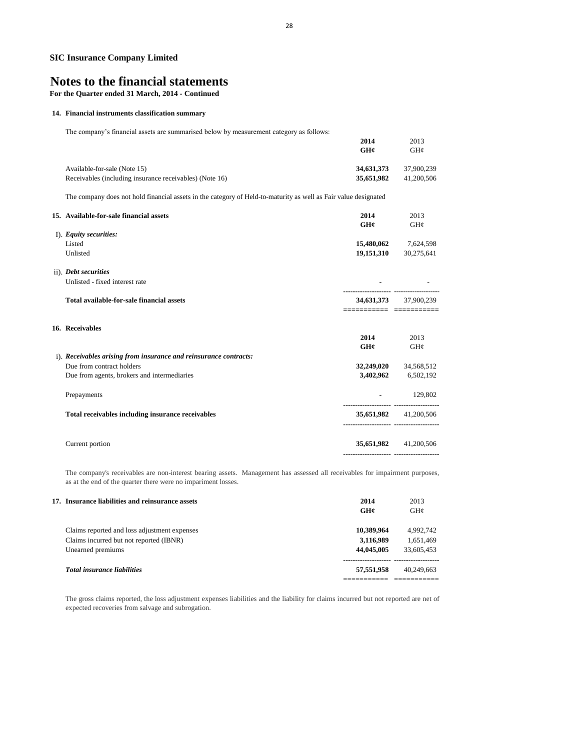## **Notes to the financial statements**

**For the Quarter ended 31 March, 2014 - Continued**

### **14. Financial instruments classification summary**

The company's financial assets are summarised below by measurement category as follows:

|                                                                                                                 | GH¢                                                             | GH¢                 |
|-----------------------------------------------------------------------------------------------------------------|-----------------------------------------------------------------|---------------------|
| Available-for-sale (Note 15)                                                                                    | 34,631,373                                                      | 37,900,239          |
| Receivables (including insurance receivables) (Note 16)                                                         | 35,651,982                                                      | 41,200,506          |
| The company does not hold financial assets in the category of Held-to-maturity as well as Fair value designated |                                                                 |                     |
| 15. Available-for-sale financial assets                                                                         | 2014                                                            | 2013                |
| I). Equity securities:                                                                                          | GHc                                                             | GHC                 |
| Listed                                                                                                          | 15,480,062 7,624,598                                            |                     |
| Unlisted                                                                                                        | 19,151,310                                                      | 30,275,641          |
| ii). Debt securities                                                                                            |                                                                 |                     |
| Unlisted - fixed interest rate                                                                                  |                                                                 |                     |
| Total available-for-sale financial assets                                                                       | 34,631,373 37,900,239<br>=====================                  |                     |
| 16. Receivables                                                                                                 |                                                                 |                     |
|                                                                                                                 | 2014                                                            | 2013                |
| i). Receivables arising from insurance and reinsurance contracts:                                               | GH¢                                                             | GH¢                 |
| Due from contract holders                                                                                       | 32,249,020 34,568,512                                           |                     |
| Due from agents, brokers and intermediaries                                                                     |                                                                 | 3,402,962 6,502,192 |
| Prepayments                                                                                                     |                                                                 | $-129.802$          |
| Total receivables including insurance receivables                                                               | 35,651,982 41,200,506                                           |                     |
| Current portion                                                                                                 | 35,651,982 41,200,506<br>-------------------- ----------------- |                     |
|                                                                                                                 |                                                                 |                     |

The company's receivables are non-interest bearing assets. Management has assessed all receivables for impairment purposes, as at the end of the quarter there were no impariment losses.

| 17. Insurance liabilities and reinsurance assets | 2014<br>GHc | 2013<br>GHC |
|--------------------------------------------------|-------------|-------------|
| Claims reported and loss adjustment expenses     | 10,389,964  | 4.992.742   |
| Claims incurred but not reported (IBNR)          | 3,116,989   | 1,651,469   |
| Unearned premiums                                | 44,045,005  | 33.605.453  |
| <b>Total insurance liabilities</b>               | 57,551,958  | 40.249.663  |
|                                                  |             |             |

The gross claims reported, the loss adjustment expenses liabilities and the liability for claims incurred but not reported are net of expected recoveries from salvage and subrogation.

**2014** 2013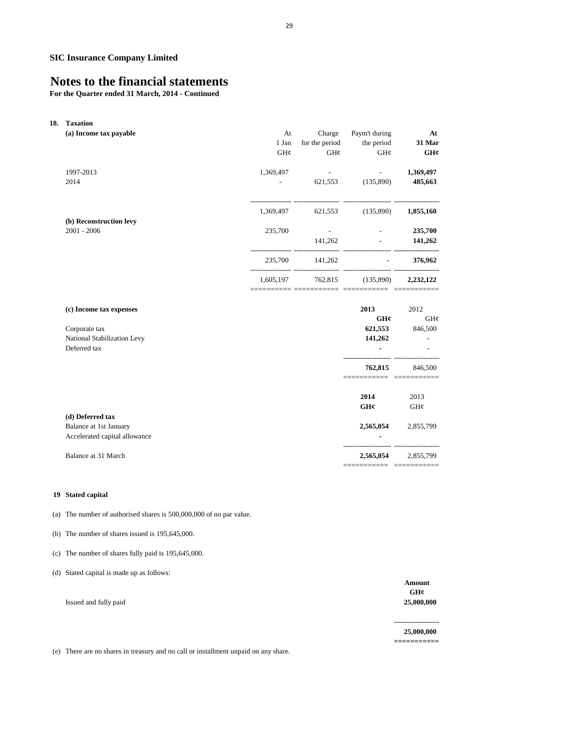## **Notes to the financial statements**

**For the Quarter ended 31 March, 2014 - Continued**

### **18. Taxation**

| (a) Income tax payable                                                      | At<br>1 Jan<br>GH¢ | Charge<br>for the period<br>GH¢  | Paym't during<br>the period<br>GH¢                            | At<br>31 Mar<br>GH¢  |
|-----------------------------------------------------------------------------|--------------------|----------------------------------|---------------------------------------------------------------|----------------------|
| 1997-2013<br>2014                                                           | 1,369,497          | $\omega_{\rm{max}}$              | $\omega_{\rm{max}}$<br>621,553 (135,890)                      | 1,369,497<br>485,663 |
| (b) Reconstruction levy                                                     | 1,369,497          |                                  | 621,553 (135,890)                                             | 1,855,160            |
| $2001 - 2006$                                                               | 235,700            |                                  | design and the control of<br><b>All Common</b><br>$141,262$ - | 235,700<br>141,262   |
|                                                                             |                    | 235,700 141,262                  | $\omega_{\rm{max}}$                                           | 376,962              |
|                                                                             | 1,605,197          | ======== =========== =========== | 762,815 (135,890)                                             | 2,232,122            |
| (c) Income tax expenses                                                     |                    |                                  | 2013                                                          | 2012                 |
| Corporate tax<br>National Stabilization Levy<br>Deferred tax                |                    |                                  | GH¢<br>621,553<br>141,262                                     | GH¢<br>846,500       |
|                                                                             |                    |                                  | 762,815                                                       | 846,500              |
|                                                                             |                    |                                  | 2014<br>GH¢                                                   | 2013<br>GH¢          |
| (d) Deferred tax<br>Balance at 1st January<br>Accelerated capital allowance |                    |                                  | 2,565,054                                                     | 2,855,799            |
| Balance at 31 March                                                         |                    |                                  | 2,565,054                                                     | 2,855,799            |

### **19 Stated capital**

- (a) The number of authorised shares is 500,000,000 of no par value.
- (b) The number of shares issued is 195,645,000.
- (c) The number of shares fully paid is 195,645,000.
- (d) Stated capital is made up as follows:

|                       | Amount          |
|-----------------------|-----------------|
|                       | GH¢             |
| Issued and fully paid | 25,000,000      |
|                       |                 |
|                       | --------------- |
|                       | 25,000,000      |
|                       |                 |
|                       |                 |

(e) There are no shares in treasury and no call or installment unpaid on any share.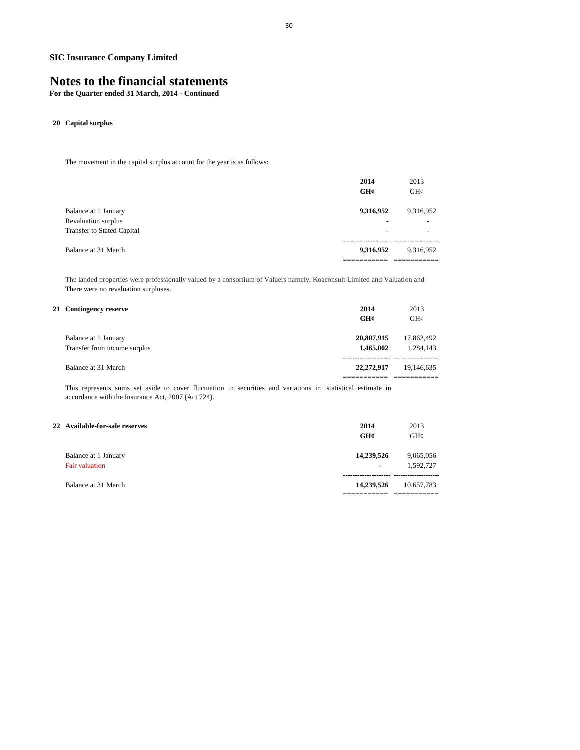## **Notes to the financial statements**

**For the Quarter ended 31 March, 2014 - Continued**

### **20 Capital surplus**

The movement in the capital surplus account for the year is as follows:

|                                   | 2014<br>GH¢    | 2013<br>GH@ |
|-----------------------------------|----------------|-------------|
| Balance at 1 January              | 9,316,952      | 9,316,952   |
| Revaluation surplus               | $\blacksquare$ | -           |
| <b>Transfer to Stated Capital</b> | ۰              | -           |
| Balance at 31 March               | 9,316,952      | 9,316,952   |
|                                   |                |             |

There were no revaluation surpluses. The landed properties were professionally valued by a consortium of Valuers namely, Koaconsult Limited and Valuation and

| 21 Contingency reserve                               | 2014<br>GHc             | 2013<br>GH@             |
|------------------------------------------------------|-------------------------|-------------------------|
| Balance at 1 January<br>Transfer from income surplus | 20,807,915<br>1,465,002 | 17,862,492<br>1.284.143 |
| Balance at 31 March                                  | 22,272,917              | 19,146,635              |

This represents sums set aside to cover fluctuation in securities and variations in statistical estimate in accordance with the Insurance Act, 2007 (Act 724).

| 22 Available-for-sale reserves                | 2014<br>GH¢     | 2013<br>GH@            |
|-----------------------------------------------|-----------------|------------------------|
| Balance at 1 January<br><b>Fair valuation</b> | 14,239,526<br>۰ | 9,065,056<br>1.592.727 |
| Balance at 31 March                           | 14,239,526      | 10.657.783             |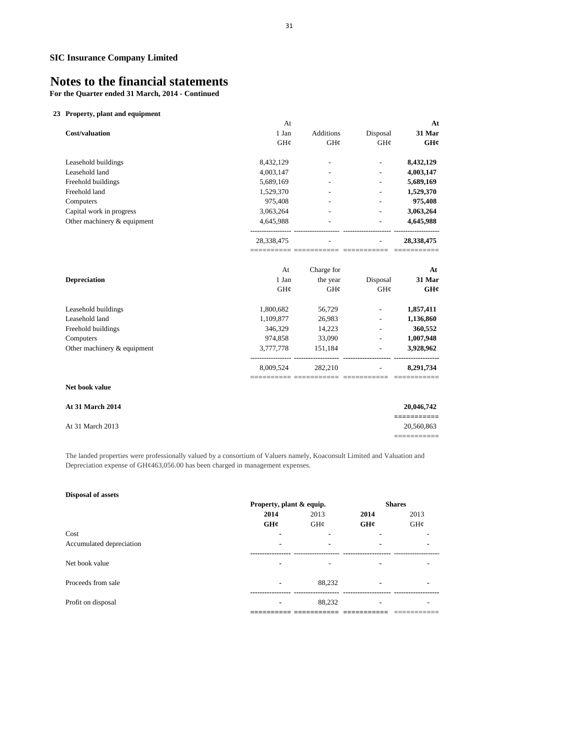## **Notes to the financial statements**

**For the Quarter ended 31 March, 2014 - Continued**

## **23 Property, plant and equipment**

|                             | At         |                  |                          | At         |
|-----------------------------|------------|------------------|--------------------------|------------|
| Cost/valuation              | 1 Jan      | <b>Additions</b> | Disposal                 | 31 Mar     |
|                             | GH¢        | GH¢              | GH¢                      | GH¢        |
| Leasehold buildings         | 8,432,129  |                  |                          | 8,432,129  |
| Leasehold land              | 4,003,147  |                  |                          | 4,003,147  |
| Freehold buildings          | 5,689,169  |                  | $\overline{\phantom{0}}$ | 5,689,169  |
| Freehold land               | 1,529,370  |                  |                          | 1,529,370  |
| Computers                   | 975,408    |                  |                          | 975,408    |
| Capital work in progress    | 3,063,264  |                  |                          | 3,063,264  |
| Other machinery & equipment | 4,645,988  |                  | $\overline{a}$           | 4,645,988  |
|                             | 28,338,475 | $\frac{1}{2}$    | $\overline{\phantom{a}}$ | 28,338,475 |
|                             | At         | Charge for       |                          | At         |
| <b>Depreciation</b>         | 1 Jan      | the year         | Disposal                 | 31 Mar     |
|                             | GH¢        | GH¢              | GH¢                      | GHC        |
| Leasehold buildings         | 1,800,682  | 56,729           | $\sim 100$               | 1,857,411  |
| Leasehold land              | 1,109,877  | 26,983           | $\overline{\phantom{0}}$ | 1,136,860  |
| Freehold buildings          | 346,329    | 14,223           |                          | 360,552    |
| Computers                   | 974,858    | 33,090           | $\sim$                   | 1,007,948  |
| Other machinery & equipment | 3,777,778  | 151,184          | $\sim$                   | 3,928,962  |
|                             | 8,009,524  | 282,210          | $\overline{\phantom{a}}$ | 8,291,734  |
| Net book value              |            |                  |                          |            |

| <b>At 31 March 2014</b> | 20,046,742 |
|-------------------------|------------|
|                         |            |
| At 31 March 2013        | 20,560,863 |
|                         | ________   |

The landed properties were professionally valued by a consortium of Valuers namely, Koaconsult Limited and Valuation and Depreciation expense of GH¢463,056.00 has been charged in management expenses.

### **Disposal of assets**

|                          | Property, plant & equip. |                |      | <b>Shares</b>  |
|--------------------------|--------------------------|----------------|------|----------------|
|                          | 2014                     | 2013           | 2014 | 2013           |
|                          | GH¢                      | GH¢            | GH¢  | GH¢            |
| Cost                     |                          | -              | -    | ٠              |
| Accumulated depreciation | -                        | $\blacksquare$ | ٠    | ۰              |
|                          |                          |                |      |                |
| Net book value           | ۰                        |                | -    |                |
|                          |                          |                |      |                |
| Proceeds from sale       |                          | 88,232         | -    | $\blacksquare$ |
|                          |                          |                |      |                |
| Profit on disposal       | -                        | 88,232         | ۰    | ۰              |
|                          |                          |                |      |                |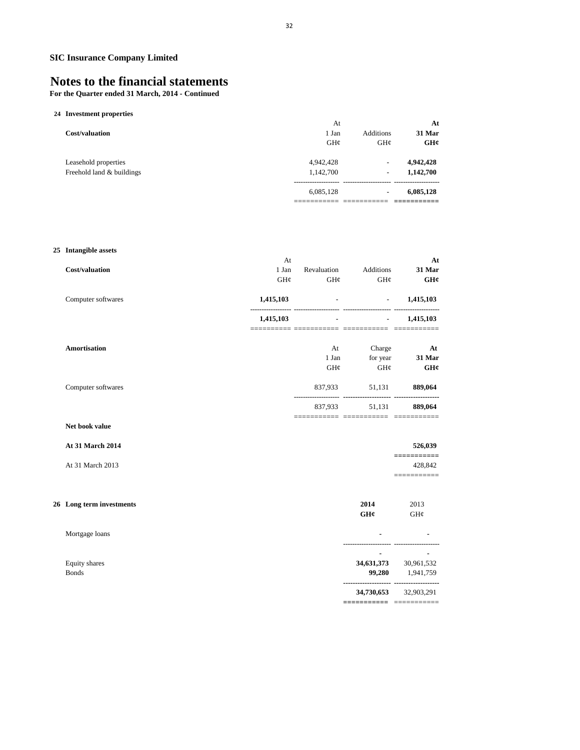## **Notes to the financial statements**

**For the Quarter ended 31 March, 2014 - Continued**

## **24 Investment properties**

|                           | At        |                          | At        |
|---------------------------|-----------|--------------------------|-----------|
| Cost/valuation            | 1 Jan     | <b>Additions</b>         | 31 Mar    |
|                           | GH@       | GH@                      | GH¢       |
| Leasehold properties      | 4.942.428 | ۰                        | 4,942,428 |
| Freehold land & buildings | 1,142,700 | ۰                        | 1,142,700 |
|                           | 6,085,128 | $\overline{\phantom{a}}$ | 6,085,128 |
|                           |           |                          |           |

### **25 Intangible assets**

| At<br>Cost/valuation<br>1 Jan<br>Revaluation<br>GH¢<br>$\rm{GH} \mathcal{C}$ | Additions<br>GH¢                        | At<br>31 Mar<br>GH¢     |
|------------------------------------------------------------------------------|-----------------------------------------|-------------------------|
| Computer softwares<br>1,415,103                                              | <b>All Contract Contract</b>            | $-1,415,103$            |
| 1,415,103<br>$\sim$                                                          | <b>All Control</b>                      | 1,415,103               |
| <b>Amortisation</b><br>At<br>1 Jan<br>GH¢                                    | Charge<br>for year<br>GH¢               | At<br>31 Mar<br>GH¢     |
| Computer softwares                                                           | 837,933 51,131                          | 889,064                 |
| 837,933                                                                      | 51,131                                  | 889,064                 |
| Net book value                                                               |                                         |                         |
| At 31 March 2014                                                             |                                         | 526,039                 |
| At 31 March 2013                                                             |                                         | ============<br>428,842 |
| 26 Long term investments                                                     | 2014<br>GH¢                             | 2013<br>GH¢             |
| Mortgage loans                                                               |                                         |                         |
| Equity shares<br><b>Bonds</b>                                                | $\blacksquare$<br>34,631,373 30,961,532 | ٠<br>99,280 1,941,759   |
|                                                                              | 34,730,653<br>=====================     | 32,903,291              |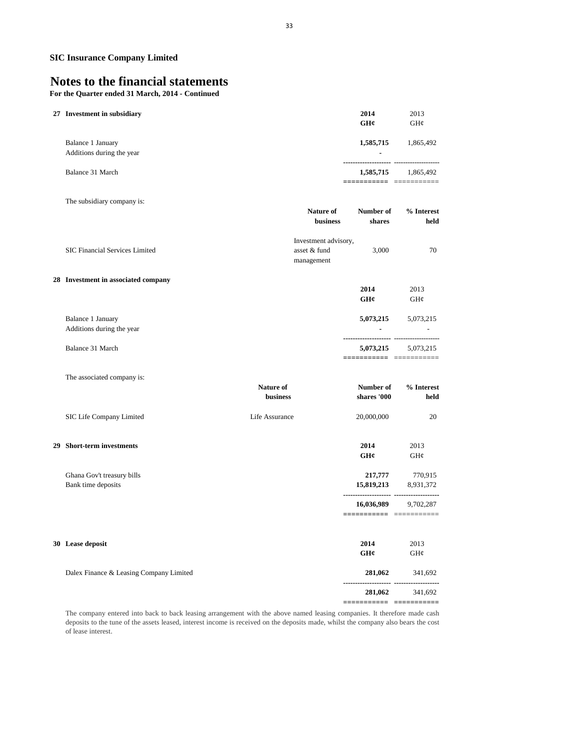## **Notes to the financial statements**

**For the Quarter ended 31 March, 2014 - Continued**

| 27 Investment in subsidiary                      |                                                    | 2014<br>GH¢                                          | 2013<br>GH¢                  |
|--------------------------------------------------|----------------------------------------------------|------------------------------------------------------|------------------------------|
| Balance 1 January<br>Additions during the year   |                                                    | $\blacksquare$                                       | 1,585,715 1,865,492          |
| Balance 31 March                                 |                                                    | =======================                              | 1,585,715 1,865,492          |
| The subsidiary company is:                       | Nature of<br>business                              | Number of<br>shares                                  | % Interest<br>held           |
| <b>SIC Financial Services Limited</b>            | Investment advisory,<br>asset & fund<br>management | 3,000                                                | 70                           |
| 28 Investment in associated company              |                                                    | 2014<br>GH¢                                          | 2013<br>GH¢                  |
| Balance 1 January<br>Additions during the year   |                                                    | 5,073,215<br>$\sim$                                  | 5,073,215<br>$\mathcal{L}$   |
| Balance 31 March                                 |                                                    | ========================                             | $5,073,215$ $5,073,215$      |
| The associated company is:                       | Nature of<br>business                              | Number of<br>shares '000                             | % Interest<br>held           |
| SIC Life Company Limited                         | Life Assurance                                     | 20,000,000                                           | 20                           |
| 29 Short-term investments                        |                                                    | 2014<br>GH¢                                          | 2013<br>GH¢                  |
| Ghana Gov't treasury bills<br>Bank time deposits |                                                    | 15,819,213<br>------------------- ------------------ | 217,777 770,915<br>8,931,372 |
|                                                  |                                                    | 16,036,989<br>===========   =========                | 9,702,287                    |
| 30 Lease deposit                                 |                                                    | 2014<br>GHC                                          | 2013<br>GH¢                  |
| Dalex Finance & Leasing Company Limited          |                                                    | 281,062                                              | 341,692                      |
|                                                  |                                                    | 281,062<br>==========                                | 341,692<br>=======           |

The company entered into back to back leasing arrangement with the above named leasing companies. It therefore made cash deposits to the tune of the assets leased, interest income is received on the deposits made, whilst the company also bears the cost of lease interest.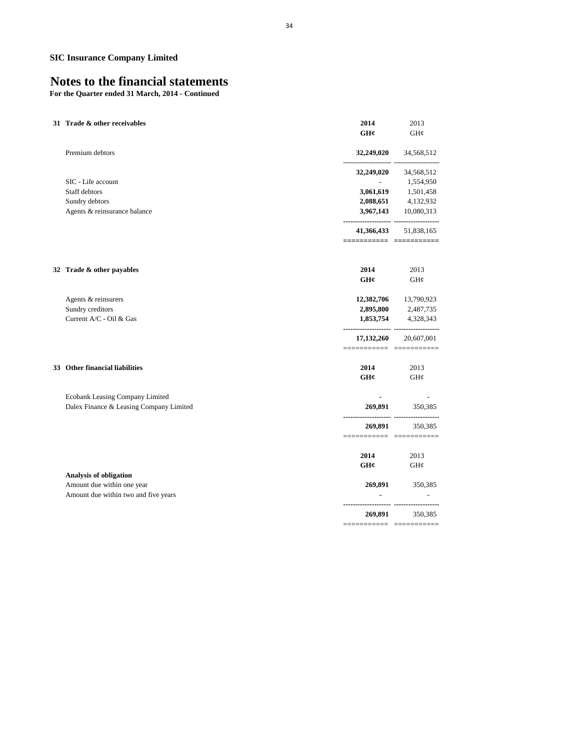## **Notes to the financial statements**

**For the Quarter ended 31 March, 2014 - Continued**

| 31 Trade & other receivables                         | 2014<br>GH¢             | 2013<br>$\mathrm{GH}\mathfrak{C}$          |
|------------------------------------------------------|-------------------------|--------------------------------------------|
| Premium debtors                                      | 32,249,020              | 34,568,512                                 |
|                                                      | 32,249,020              | 34,568,512                                 |
| SIC - Life account                                   | $\sim 100$              | 1,554,950                                  |
| Staff debtors                                        |                         | 3,061,619 1,501,458<br>2,088,651 4,132,932 |
| Sundry debtors                                       |                         |                                            |
| Agents & reinsurance balance                         | 3,967,143               | 10,080,313                                 |
|                                                      | ======================= | 41,366,433 51,838,165                      |
|                                                      |                         |                                            |
| 32 Trade & other payables                            | 2014                    | 2013                                       |
|                                                      | GH¢                     | GH¢                                        |
| Agents & reinsurers                                  | 12,382,706 13,790,923   |                                            |
| Sundry creditors                                     |                         | 2,895,800 2,487,735                        |
| Current A/C - Oil & Gas                              | 1,853,754<br>           | 4,328,343                                  |
|                                                      | 17,132,260              | 20,607,001                                 |
| 33 Other financial liabilities                       | 2014<br>GH¢             | 2013<br>GH¢                                |
| Ecobank Leasing Company Limited                      |                         |                                            |
| Dalex Finance & Leasing Company Limited              | 269,891                 | 350,385<br>                                |
|                                                      | 269,891                 | 350,385                                    |
|                                                      | 2014                    | 2013                                       |
|                                                      | GH¢                     | GH¢                                        |
| Analysis of obligation<br>Amount due within one year |                         |                                            |
| Amount due within two and five years                 | 269,891                 | 350,385                                    |
|                                                      |                         |                                            |
|                                                      | 269,891                 | 350,385                                    |
|                                                      | ===========             | ===========                                |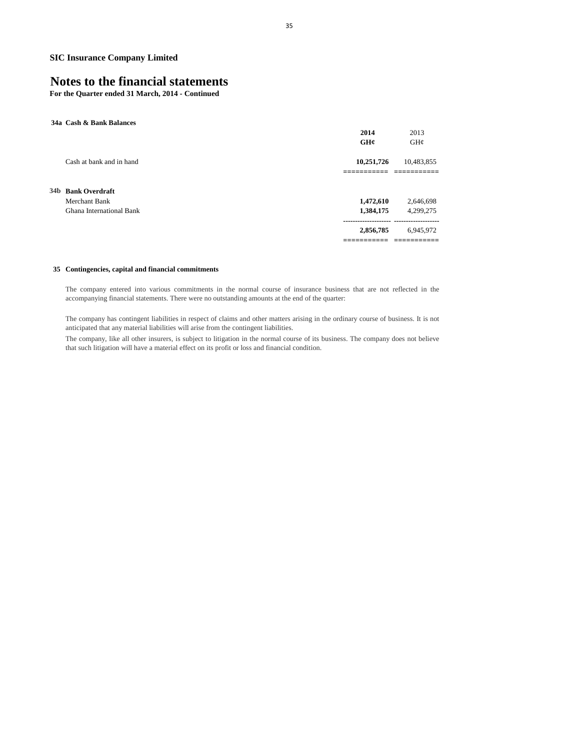## **Notes to the financial statements**

**For the Quarter ended 31 March, 2014 - Continued**

| 34a Cash & Bank Balances       |                          |                                    |
|--------------------------------|--------------------------|------------------------------------|
|                                | 2014                     | 2013                               |
|                                | GHc                      | GH¢                                |
| Cash at bank and in hand       | 10,251,726<br>__________ | 10,483,855<br>_______<br>_________ |
| 34b -<br><b>Bank Overdraft</b> |                          |                                    |
| Merchant Bank                  | 1,472,610                | 2,646,698                          |
| Ghana International Bank       | 1,384,175                | 4,299,275                          |
|                                | 2,856,785                | 6,945,972<br>___________           |
|                                |                          |                                    |

### **35 Contingencies, capital and financial commitments**

The company entered into various commitments in the normal course of insurance business that are not reflected in the accompanying financial statements. There were no outstanding amounts at the end of the quarter:

The company has contingent liabilities in respect of claims and other matters arising in the ordinary course of business. It is not anticipated that any material liabilities will arise from the contingent liabilities.

The company, like all other insurers, is subject to litigation in the normal course of its business. The company does not believe that such litigation will have a material effect on its profit or loss and financial condition.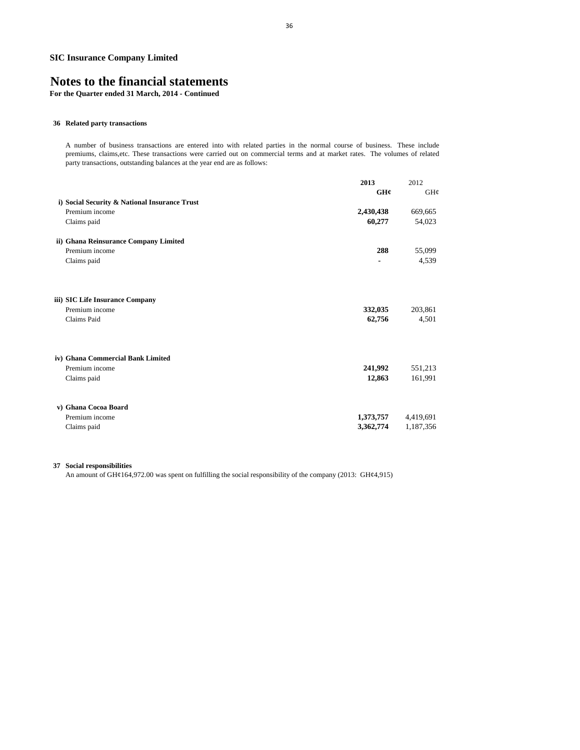## **Notes to the financial statements**

**For the Quarter ended 31 March, 2014 - Continued**

### **36 Related party transactions**

A number of business transactions are entered into with related parties in the normal course of business. These include premiums, claims,etc. These transactions were carried out on commercial terms and at market rates. The volumes of related party transactions, outstanding balances at the year end are as follows:

|                                                   | 2013           | 2012      |
|---------------------------------------------------|----------------|-----------|
|                                                   | GH¢            | GH¢       |
| i) Social Security & National Insurance Trust     |                |           |
| Premium income                                    | 2,430,438      | 669,665   |
| Claims paid                                       | 60,277         | 54,023    |
| ii) Ghana Reinsurance Company Limited             |                |           |
| Premium income                                    | 288            | 55,099    |
| Claims paid                                       | $\blacksquare$ | 4,539     |
| iii) SIC Life Insurance Company<br>Premium income | 332,035        | 203,861   |
| Claims Paid                                       | 62,756         | 4,501     |
| iv) Ghana Commercial Bank Limited                 |                |           |
| Premium income                                    | 241,992        | 551,213   |
| Claims paid                                       | 12,863         | 161,991   |
| v) Ghana Cocoa Board                              |                |           |
| Premium income                                    | 1,373,757      | 4,419,691 |
| Claims paid                                       | 3,362,774      | 1,187,356 |
|                                                   |                |           |

### **37 Social responsibilities**

An amount of GH¢164,972.00 was spent on fulfilling the social responsibility of the company (2013: GH¢4,915)